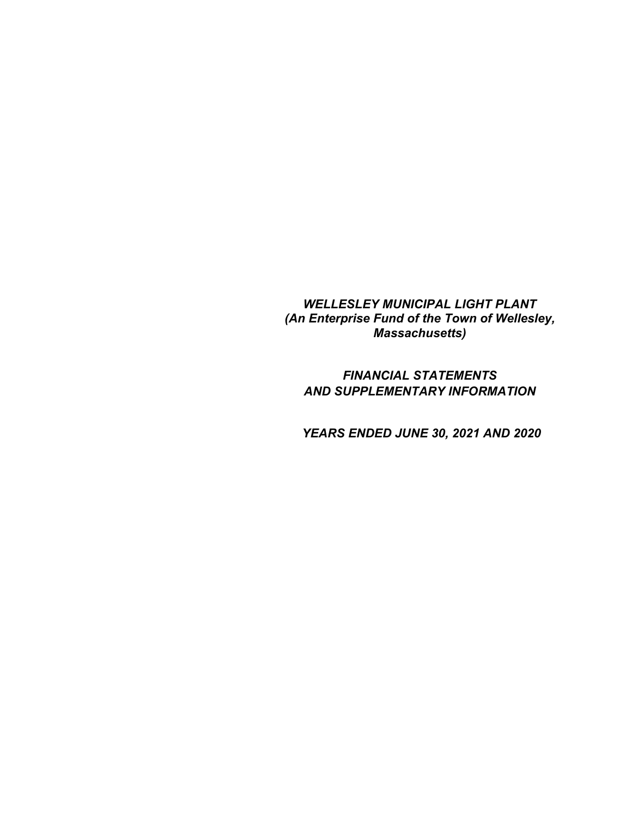## *WELLESLEY MUNICIPAL LIGHT PLANT (An Enterprise Fund of the Town of Wellesley, Massachusetts)*

## *FINANCIAL STATEMENTS AND SUPPLEMENTARY INFORMATION*

 *YEARS ENDED JUNE 30, 2021 AND 2020*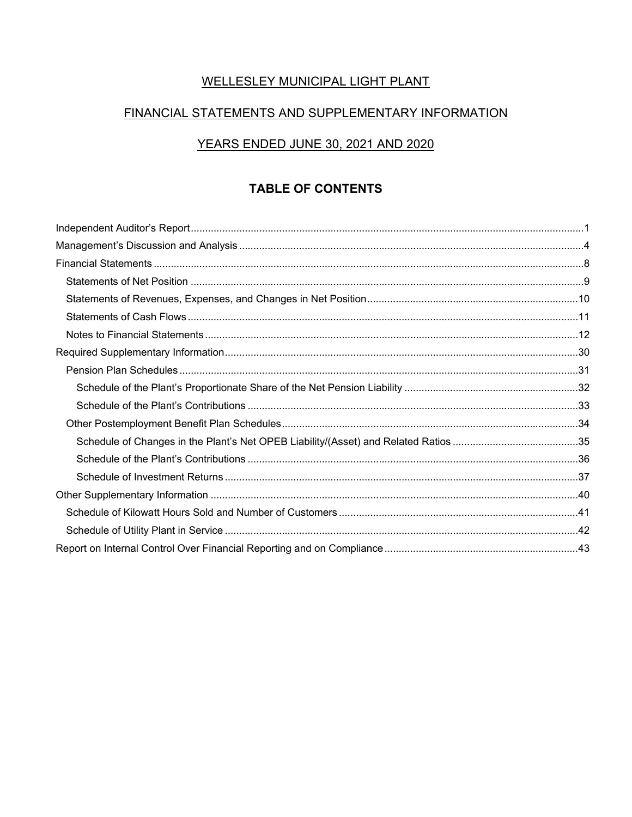## WELLESLEY MUNICIPAL LIGHT PLANT

## FINANCIAL STATEMENTS AND SUPPLEMENTARY INFORMATION

## **YEARS ENDED JUNE 30, 2021 AND 2020**

## **TABLE OF CONTENTS**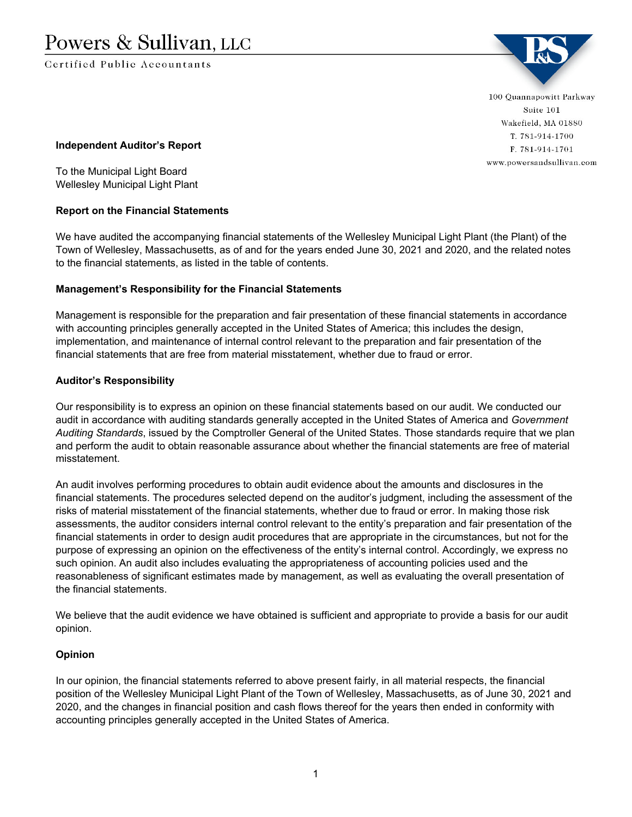## Powers & Sullivan, LLC

Certified Public Accountants



100 Quannapowitt Parkway Suite 101 Wakefield, MA 01880 T. 781-914-1700 F. 781-914-1701 www.powersandsullivan.com

#### **Independent Auditor's Report**

To the Municipal Light Board Wellesley Municipal Light Plant

#### **Report on the Financial Statements**

We have audited the accompanying financial statements of the Wellesley Municipal Light Plant (the Plant) of the Town of Wellesley, Massachusetts, as of and for the years ended June 30, 2021 and 2020, and the related notes to the financial statements, as listed in the table of contents.

#### **Management's Responsibility for the Financial Statements**

Management is responsible for the preparation and fair presentation of these financial statements in accordance with accounting principles generally accepted in the United States of America; this includes the design, implementation, and maintenance of internal control relevant to the preparation and fair presentation of the financial statements that are free from material misstatement, whether due to fraud or error.

#### **Auditor's Responsibility**

Our responsibility is to express an opinion on these financial statements based on our audit. We conducted our audit in accordance with auditing standards generally accepted in the United States of America and *Government Auditing Standards*, issued by the Comptroller General of the United States. Those standards require that we plan and perform the audit to obtain reasonable assurance about whether the financial statements are free of material misstatement.

An audit involves performing procedures to obtain audit evidence about the amounts and disclosures in the financial statements. The procedures selected depend on the auditor's judgment, including the assessment of the risks of material misstatement of the financial statements, whether due to fraud or error. In making those risk assessments, the auditor considers internal control relevant to the entity's preparation and fair presentation of the financial statements in order to design audit procedures that are appropriate in the circumstances, but not for the purpose of expressing an opinion on the effectiveness of the entity's internal control. Accordingly, we express no such opinion. An audit also includes evaluating the appropriateness of accounting policies used and the reasonableness of significant estimates made by management, as well as evaluating the overall presentation of the financial statements.

We believe that the audit evidence we have obtained is sufficient and appropriate to provide a basis for our audit opinion.

## **Opinion**

In our opinion, the financial statements referred to above present fairly, in all material respects, the financial position of the Wellesley Municipal Light Plant of the Town of Wellesley, Massachusetts, as of June 30, 2021 and 2020, and the changes in financial position and cash flows thereof for the years then ended in conformity with accounting principles generally accepted in the United States of America.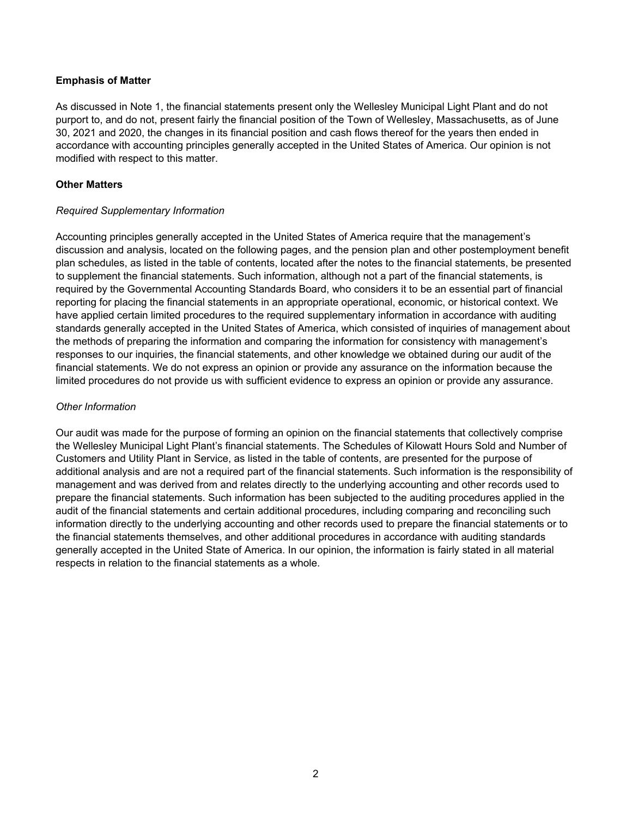#### **Emphasis of Matter**

As discussed in Note 1, the financial statements present only the Wellesley Municipal Light Plant and do not purport to, and do not, present fairly the financial position of the Town of Wellesley, Massachusetts, as of June 30, 2021 and 2020, the changes in its financial position and cash flows thereof for the years then ended in accordance with accounting principles generally accepted in the United States of America. Our opinion is not modified with respect to this matter.

#### **Other Matters**

#### *Required Supplementary Information*

Accounting principles generally accepted in the United States of America require that the management's discussion and analysis, located on the following pages, and the pension plan and other postemployment benefit plan schedules, as listed in the table of contents, located after the notes to the financial statements, be presented to supplement the financial statements. Such information, although not a part of the financial statements, is required by the Governmental Accounting Standards Board, who considers it to be an essential part of financial reporting for placing the financial statements in an appropriate operational, economic, or historical context. We have applied certain limited procedures to the required supplementary information in accordance with auditing standards generally accepted in the United States of America, which consisted of inquiries of management about the methods of preparing the information and comparing the information for consistency with management's responses to our inquiries, the financial statements, and other knowledge we obtained during our audit of the financial statements. We do not express an opinion or provide any assurance on the information because the limited procedures do not provide us with sufficient evidence to express an opinion or provide any assurance.

#### *Other Information*

Our audit was made for the purpose of forming an opinion on the financial statements that collectively comprise the Wellesley Municipal Light Plant's financial statements. The Schedules of Kilowatt Hours Sold and Number of Customers and Utility Plant in Service, as listed in the table of contents, are presented for the purpose of additional analysis and are not a required part of the financial statements. Such information is the responsibility of management and was derived from and relates directly to the underlying accounting and other records used to prepare the financial statements. Such information has been subjected to the auditing procedures applied in the audit of the financial statements and certain additional procedures, including comparing and reconciling such information directly to the underlying accounting and other records used to prepare the financial statements or to the financial statements themselves, and other additional procedures in accordance with auditing standards generally accepted in the United State of America. In our opinion, the information is fairly stated in all material respects in relation to the financial statements as a whole.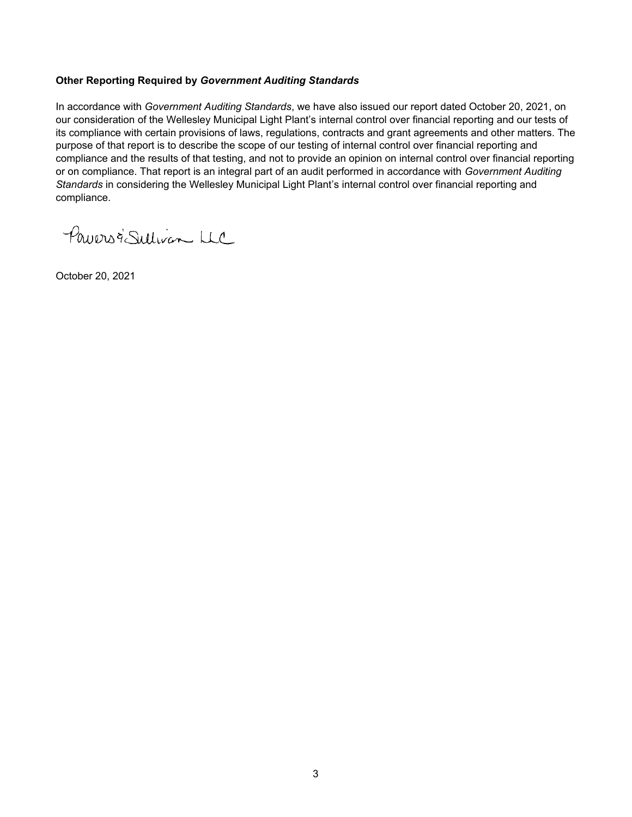#### **Other Reporting Required by** *Government Auditing Standards*

In accordance with *Government Auditing Standards*, we have also issued our report dated October 20, 2021, on our consideration of the Wellesley Municipal Light Plant's internal control over financial reporting and our tests of its compliance with certain provisions of laws, regulations, contracts and grant agreements and other matters. The purpose of that report is to describe the scope of our testing of internal control over financial reporting and compliance and the results of that testing, and not to provide an opinion on internal control over financial reporting or on compliance. That report is an integral part of an audit performed in accordance with *Government Auditing Standards* in considering the Wellesley Municipal Light Plant's internal control over financial reporting and compliance.

Powers & Sullivan LLC

October 20, 2021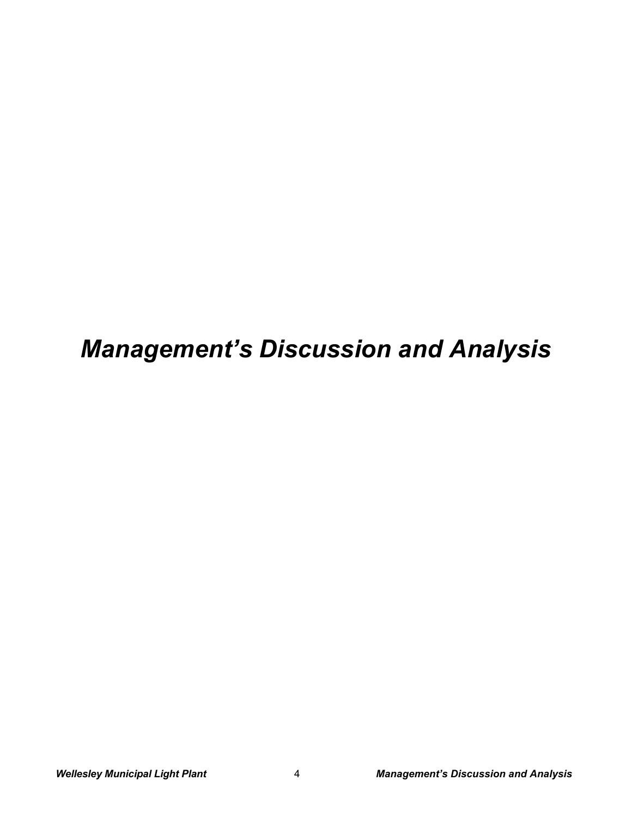## *Management's Discussion and Analysis*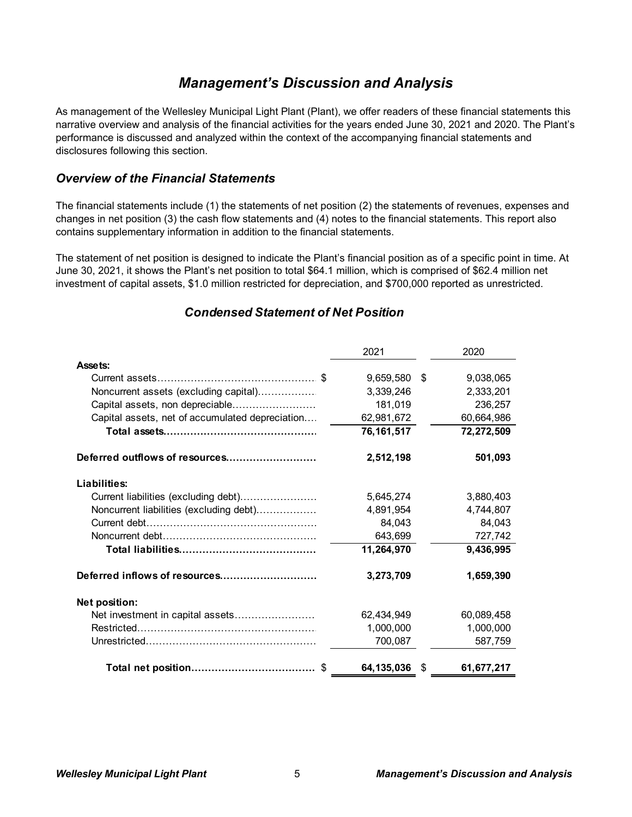## *Management's Discussion and Analysis*

As management of the Wellesley Municipal Light Plant (Plant), we offer readers of these financial statements this narrative overview and analysis of the financial activities for the years ended June 30, 2021 and 2020. The Plant's performance is discussed and analyzed within the context of the accompanying financial statements and disclosures following this section.

## *Overview of the Financial Statements*

The financial statements include (1) the statements of net position (2) the statements of revenues, expenses and changes in net position (3) the cash flow statements and (4) notes to the financial statements. This report also contains supplementary information in addition to the financial statements.

The statement of net position is designed to indicate the Plant's financial position as of a specific point in time. At June 30, 2021, it shows the Plant's net position to total \$64.1 million, which is comprised of \$62.4 million net investment of capital assets, \$1.0 million restricted for depreciation, and \$700,000 reported as unrestricted.

## *Condensed Statement of Net Position*

|                                                 | 2021             | 2020             |
|-------------------------------------------------|------------------|------------------|
| Assets:                                         |                  |                  |
|                                                 | 9,659,580        | \$<br>9,038,065  |
| Noncurrent assets (excluding capital)           | 3,339,246        | 2,333,201        |
| Capital assets, non depreciable                 | 181,019          | 236,257          |
| Capital assets, net of accumulated depreciation | 62,981,672       | 60,664,986       |
|                                                 | 76, 161, 517     | 72,272,509       |
| Deferred outflows of resources                  | 2,512,198        | 501,093          |
| Liabilities:                                    |                  |                  |
| Current liabilities (excluding debt)            | 5,645,274        | 3,880,403        |
| Noncurrent liabilities (excluding debt)         | 4,891,954        | 4,744,807        |
|                                                 | 84,043           | 84,043           |
|                                                 | 643,699          | 727,742          |
|                                                 | 11,264,970       | 9,436,995        |
| Deferred inflows of resources                   | 3,273,709        | 1,659,390        |
| Net position:                                   |                  |                  |
| Net investment in capital assets                | 62,434,949       | 60,089,458       |
|                                                 | 1,000,000        | 1,000,000        |
|                                                 | 700,087          | 587,759          |
|                                                 | \$<br>64,135,036 | \$<br>61,677,217 |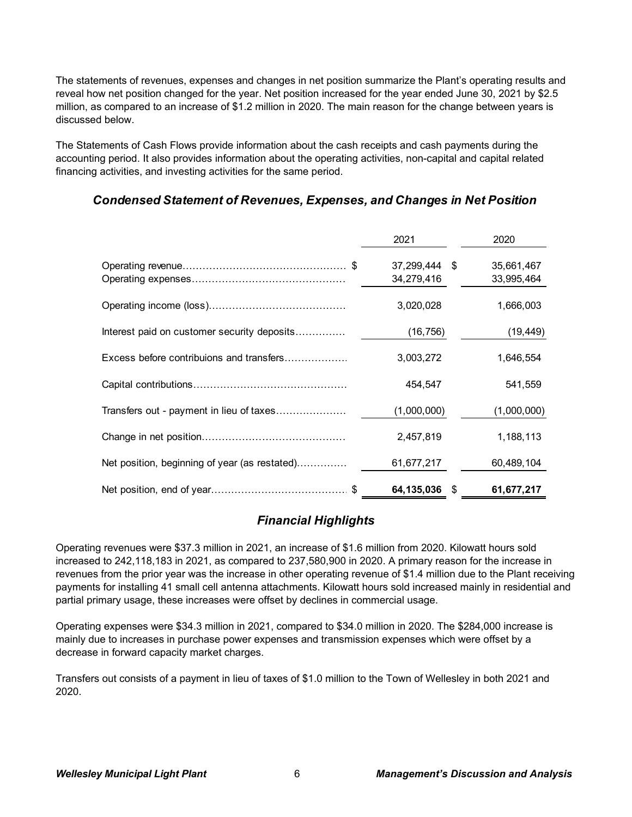The statements of revenues, expenses and changes in net position summarize the Plant's operating results and reveal how net position changed for the year. Net position increased for the year ended June 30, 2021 by \$2.5 million, as compared to an increase of \$1.2 million in 2020. The main reason for the change between years is discussed below.

The Statements of Cash Flows provide information about the cash receipts and cash payments during the accounting period. It also provides information about the operating activities, non-capital and capital related financing activities, and investing activities for the same period.

## *Condensed Statement of Revenues, Expenses, and Changes in Net Position*

|                                               | 2021                        | 2020                     |
|-----------------------------------------------|-----------------------------|--------------------------|
|                                               | 37,299,444 \$<br>34,279,416 | 35,661,467<br>33,995,464 |
|                                               | 3,020,028                   | 1,666,003                |
| Interest paid on customer security deposits   | (16, 756)                   | (19, 449)                |
| Excess before contribuions and transfers      | 3,003,272                   | 1,646,554                |
|                                               | 454.547                     | 541,559                  |
| Transfers out - payment in lieu of taxes      | (1,000,000)                 | (1,000,000)              |
|                                               | 2,457,819                   | 1,188,113                |
| Net position, beginning of year (as restated) | 61,677,217                  | 60,489,104               |
|                                               | 64,135,036 \$               | 61,677,217               |

## *Financial Highlights*

Operating revenues were \$37.3 million in 2021, an increase of \$1.6 million from 2020. Kilowatt hours sold increased to 242,118,183 in 2021, as compared to 237,580,900 in 2020. A primary reason for the increase in revenues from the prior year was the increase in other operating revenue of \$1.4 million due to the Plant receiving payments for installing 41 small cell antenna attachments. Kilowatt hours sold increased mainly in residential and partial primary usage, these increases were offset by declines in commercial usage.

Operating expenses were \$34.3 million in 2021, compared to \$34.0 million in 2020. The \$284,000 increase is mainly due to increases in purchase power expenses and transmission expenses which were offset by a decrease in forward capacity market charges.

Transfers out consists of a payment in lieu of taxes of \$1.0 million to the Town of Wellesley in both 2021 and 2020.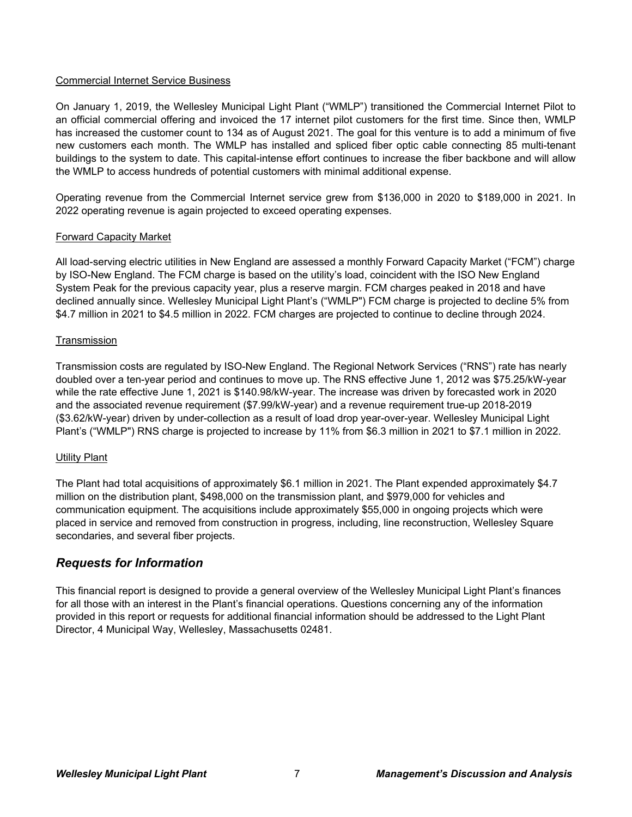#### Commercial Internet Service Business

On January 1, 2019, the Wellesley Municipal Light Plant ("WMLP") transitioned the Commercial Internet Pilot to an official commercial offering and invoiced the 17 internet pilot customers for the first time. Since then, WMLP has increased the customer count to 134 as of August 2021. The goal for this venture is to add a minimum of five new customers each month. The WMLP has installed and spliced fiber optic cable connecting 85 multi-tenant buildings to the system to date. This capital-intense effort continues to increase the fiber backbone and will allow the WMLP to access hundreds of potential customers with minimal additional expense.

Operating revenue from the Commercial Internet service grew from \$136,000 in 2020 to \$189,000 in 2021. In 2022 operating revenue is again projected to exceed operating expenses.

#### Forward Capacity Market

All load-serving electric utilities in New England are assessed a monthly Forward Capacity Market ("FCM") charge by ISO-New England. The FCM charge is based on the utility's load, coincident with the ISO New England System Peak for the previous capacity year, plus a reserve margin. FCM charges peaked in 2018 and have declined annually since. Wellesley Municipal Light Plant's ("WMLP") FCM charge is projected to decline 5% from \$4.7 million in 2021 to \$4.5 million in 2022. FCM charges are projected to continue to decline through 2024.

#### **Transmission**

Transmission costs are regulated by ISO-New England. The Regional Network Services ("RNS") rate has nearly doubled over a ten-year period and continues to move up. The RNS effective June 1, 2012 was \$75.25/kW-year while the rate effective June 1, 2021 is \$140.98/kW-year. The increase was driven by forecasted work in 2020 and the associated revenue requirement (\$7.99/kW-year) and a revenue requirement true-up 2018-2019 (\$3.62/kW-year) driven by under-collection as a result of load drop year-over-year. Wellesley Municipal Light Plant's ("WMLP") RNS charge is projected to increase by 11% from \$6.3 million in 2021 to \$7.1 million in 2022.

#### Utility Plant

The Plant had total acquisitions of approximately \$6.1 million in 2021. The Plant expended approximately \$4.7 million on the distribution plant, \$498,000 on the transmission plant, and \$979,000 for vehicles and communication equipment. The acquisitions include approximately \$55,000 in ongoing projects which were placed in service and removed from construction in progress, including, line reconstruction, Wellesley Square secondaries, and several fiber projects.

## *Requests for Information*

This financial report is designed to provide a general overview of the Wellesley Municipal Light Plant's finances for all those with an interest in the Plant's financial operations. Questions concerning any of the information provided in this report or requests for additional financial information should be addressed to the Light Plant Director, 4 Municipal Way, Wellesley, Massachusetts 02481.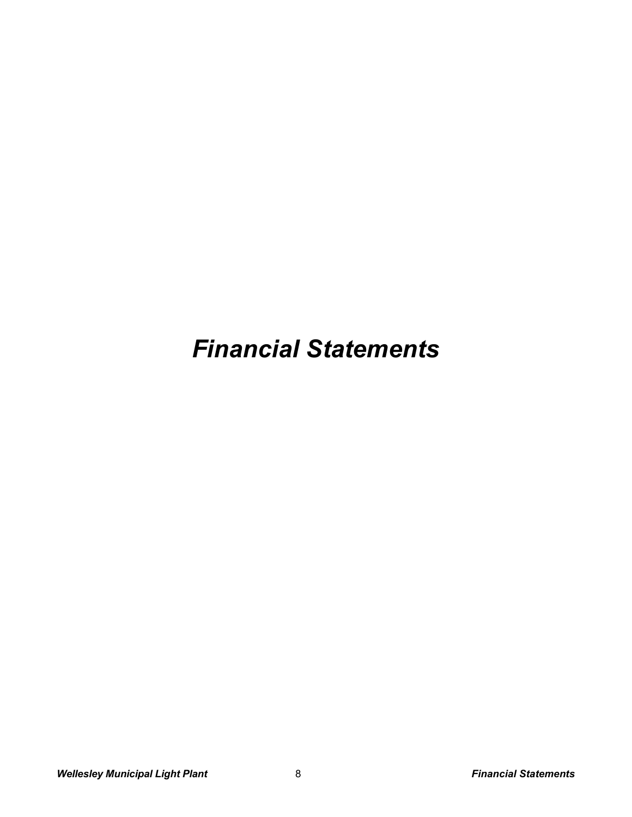## *Financial Statements*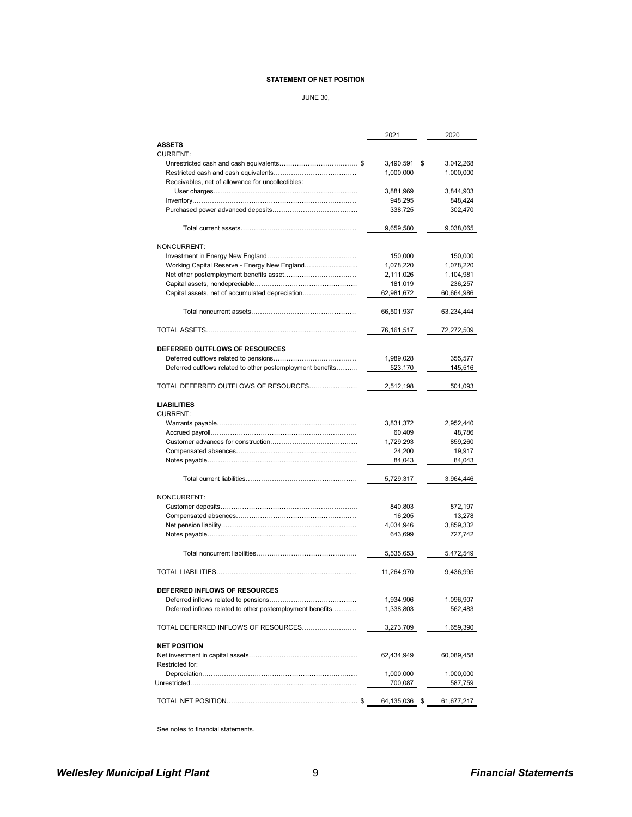#### **STATEMENT OF NET POSITION**

#### JUNE 30,

|                                                            | 2021                   |   | 2020                   |
|------------------------------------------------------------|------------------------|---|------------------------|
| <b>ASSETS</b>                                              |                        |   |                        |
| <b>CURRENT:</b>                                            |                        | S |                        |
|                                                            | 3,490,591<br>1,000,000 |   | 3,042,268<br>1,000,000 |
| Receivables, net of allowance for uncollectibles:          |                        |   |                        |
|                                                            | 3,881,969              |   | 3,844,903              |
|                                                            | 948,295<br>338,725     |   | 848,424<br>302,470     |
|                                                            | 9,659,580              |   | 9,038,065              |
|                                                            |                        |   |                        |
| NONCURRENT:                                                |                        |   |                        |
|                                                            | 150,000                |   | 150,000                |
|                                                            | 1,078,220              |   | 1,078,220              |
|                                                            | 2,111,026              |   | 1,104,981              |
|                                                            | 181,019                |   | 236,257                |
| Capital assets, net of accumulated depreciation            | 62,981,672             |   | 60,664,986             |
|                                                            | 66,501,937             |   | 63,234,444             |
|                                                            | 76,161,517             |   | 72,272,509             |
| DEFERRED OUTFLOWS OF RESOURCES                             |                        |   |                        |
|                                                            | 1,989,028              |   | 355,577                |
| Deferred outflows related to other postemployment benefits | 523,170                |   | 145,516                |
|                                                            |                        |   |                        |
| TOTAL DEFERRED OUTFLOWS OF RESOURCES                       | 2,512,198              |   | 501,093                |
| <b>LIABILITIES</b>                                         |                        |   |                        |
| <b>CURRENT:</b>                                            |                        |   |                        |
|                                                            | 3,831,372              |   | 2,952,440              |
|                                                            | 60,409                 |   | 48,786                 |
|                                                            | 1,729,293              |   | 859,260                |
|                                                            | 24,200                 |   | 19,917                 |
|                                                            | 84,043                 |   | 84,043                 |
|                                                            | 5,729,317              |   | 3,964,446              |
| NONCURRENT:                                                |                        |   |                        |
|                                                            | 840,803                |   | 872,197                |
|                                                            | 16,205                 |   | 13,278                 |
|                                                            | 4,034,946              |   | 3,859,332              |
|                                                            | 643,699                |   | 727,742                |
|                                                            | 5,535,653              |   | 5,472,549              |
|                                                            | 11,264,970             |   | 9,436,995              |
|                                                            |                        |   |                        |
| DEFERRED INFLOWS OF RESOURCES                              |                        |   |                        |
|                                                            | 1,934,906              |   | 1,096,907              |
| Deferred inflows related to other postemployment benefits  | 1,338,803              |   | 562,483                |
| TOTAL DEFERRED INFLOWS OF RESOURCES                        | 3,273,709              |   | 1,659,390              |
| <b>NET POSITION</b>                                        |                        |   |                        |
|                                                            | 62,434,949             |   | 60,089,458             |
| Restricted for:                                            |                        |   |                        |
|                                                            | 1,000,000              |   | 1,000,000              |
| Unrestricted……………………………………………………………………                     | 700,087                |   | 587,759                |
|                                                            |                        |   |                        |
|                                                            | 64,135,036 \$          |   | 61,677,217             |

See notes to financial statements.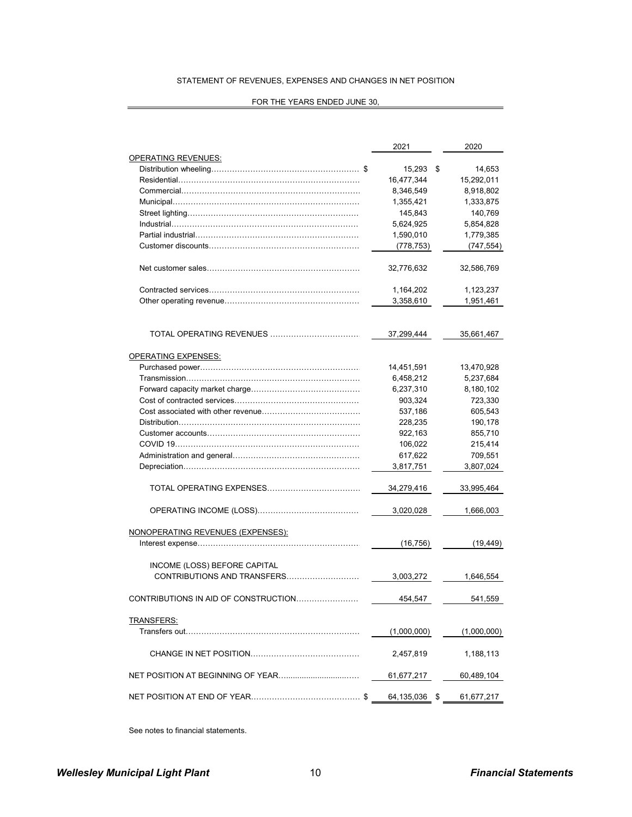#### STATEMENT OF REVENUES, EXPENSES AND CHANGES IN NET POSITION

#### FOR THE YEARS ENDED JUNE 30,

|                                                    | 2021        | 2020          |
|----------------------------------------------------|-------------|---------------|
| <b>OPERATING REVENUES:</b>                         |             |               |
|                                                    | 15,293      | 14,653<br>-\$ |
|                                                    | 16,477,344  | 15,292,011    |
|                                                    | 8,346,549   | 8,918,802     |
|                                                    | 1,355,421   | 1,333,875     |
|                                                    | 145,843     | 140,769       |
|                                                    | 5,624,925   | 5,854,828     |
|                                                    | 1,590,010   | 1,779,385     |
|                                                    | (778, 753)  | (747, 554)    |
|                                                    | 32,776,632  | 32,586,769    |
|                                                    | 1,164,202   | 1,123,237     |
|                                                    | 3,358,610   | 1,951,461     |
|                                                    | 37,299,444  | 35,661,467    |
| OPERATING EXPENSES:                                |             |               |
|                                                    | 14,451,591  | 13,470,928    |
|                                                    | 6,458,212   | 5,237,684     |
|                                                    | 6,237,310   | 8,180,102     |
|                                                    | 903,324     | 723,330       |
|                                                    | 537,186     | 605,543       |
|                                                    | 228,235     | 190,178       |
|                                                    | 922,163     | 855,710       |
|                                                    | 106,022     | 215,414       |
|                                                    | 617,622     | 709,551       |
|                                                    | 3,817,751   | 3,807,024     |
|                                                    | 34,279,416  | 33,995,464    |
|                                                    | 3,020,028   | 1,666,003     |
| NONOPERATING REVENUES (EXPENSES):                  |             |               |
|                                                    | (16, 756)   | (19, 449)     |
| INCOME (LOSS) BEFORE CAPITAL                       |             |               |
| CONTRIBUTIONS AND TRANSFERS                        | 3,003,272   | 1,646,554     |
| CONTRIBUTIONS IN AID OF CONSTRUCTION.              | 454,547     | 541,559       |
| TRANSFERS:<br>Transfers out…………………………………………………………… | (1,000,000) | (1,000,000)   |
|                                                    |             |               |
|                                                    | 2,457,819   | 1,188,113     |
|                                                    | 61,677,217  | 60,489,104    |
|                                                    |             |               |

See notes to financial statements.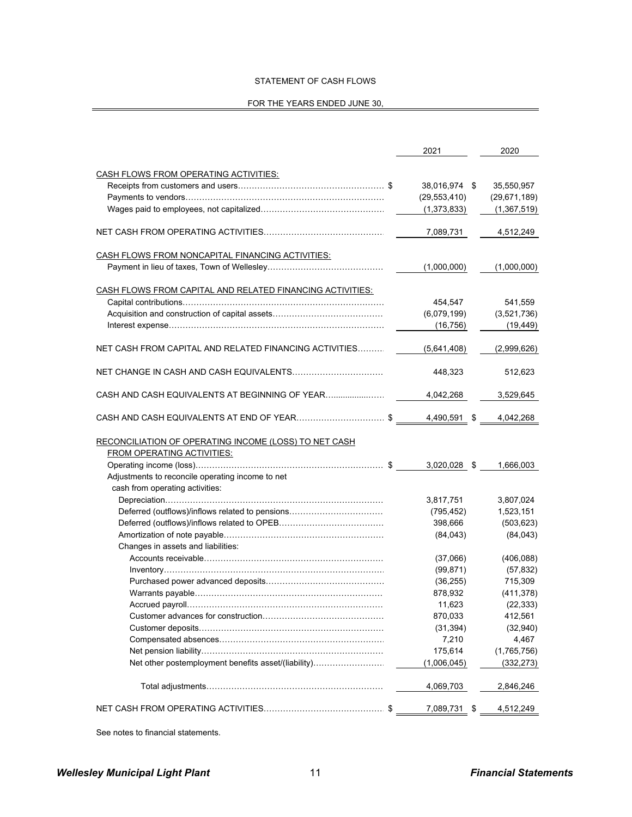#### STATEMENT OF CASH FLOWS

## FOR THE YEARS ENDED JUNE 30,

|                                                           | 2021           | 2020         |
|-----------------------------------------------------------|----------------|--------------|
|                                                           |                |              |
| CASH FLOWS FROM OPERATING ACTIVITIES:                     |                |              |
|                                                           | 38,016,974 \$  | 35,550,957   |
|                                                           | (29, 553, 410) | (29,671,189) |
|                                                           | (1,373,833)    | (1,367,519)  |
|                                                           | 7,089,731      | 4,512,249    |
| CASH FLOWS FROM NONCAPITAL FINANCING ACTIVITIES:          |                |              |
|                                                           | (1,000,000)    | (1,000,000)  |
|                                                           |                |              |
| CASH FLOWS FROM CAPITAL AND RELATED FINANCING ACTIVITIES: |                |              |
|                                                           | 454,547        | 541,559      |
|                                                           | (6,079,199)    | (3,521,736)  |
|                                                           | (16, 756)      | (19, 449)    |
| NET CASH FROM CAPITAL AND RELATED FINANCING ACTIVITIES    | (5,641,408)    | (2,999,626)  |
|                                                           | 448,323        | 512,623      |
| CASH AND CASH EQUIVALENTS AT BEGINNING OF YEAR            | 4,042,268      | 3,529,645    |
| CASH AND CASH EQUIVALENTS AT END OF YEAR\$ 4,490,591 \$   |                | 4,042,268    |
| RECONCILIATION OF OPERATING INCOME (LOSS) TO NET CASH     |                |              |
| FROM OPERATING ACTIVITIES:                                |                |              |
|                                                           | 3,020,028 \$   | 1,666,003    |
| Adjustments to reconcile operating income to net          |                |              |
| cash from operating activities:                           |                |              |
|                                                           | 3,817,751      | 3,807,024    |
|                                                           | (795, 452)     | 1,523,151    |
|                                                           | 398,666        | (503, 623)   |
|                                                           | (84, 043)      | (84, 043)    |
| Changes in assets and liabilities:                        |                |              |
|                                                           | (37,066)       | (406, 088)   |
|                                                           | (99, 871)      | (57, 832)    |
|                                                           | (36, 255)      | 715,309      |
|                                                           | 878,932        | (411, 378)   |
|                                                           | 11,623         | (22, 333)    |
|                                                           | 870,033        | 412,561      |
|                                                           | (31, 394)      | (32, 940)    |
|                                                           | 7,210          | 4,467        |
|                                                           | 175,614        | (1,765,756)  |
| Net other postemployment benefits asset/(liability)       | (1,006,045)    | (332, 273)   |
|                                                           | 4,069,703      | 2,846,246    |
|                                                           |                |              |
|                                                           | 7,089,731 \$   | 4,512,249    |

See notes to financial statements.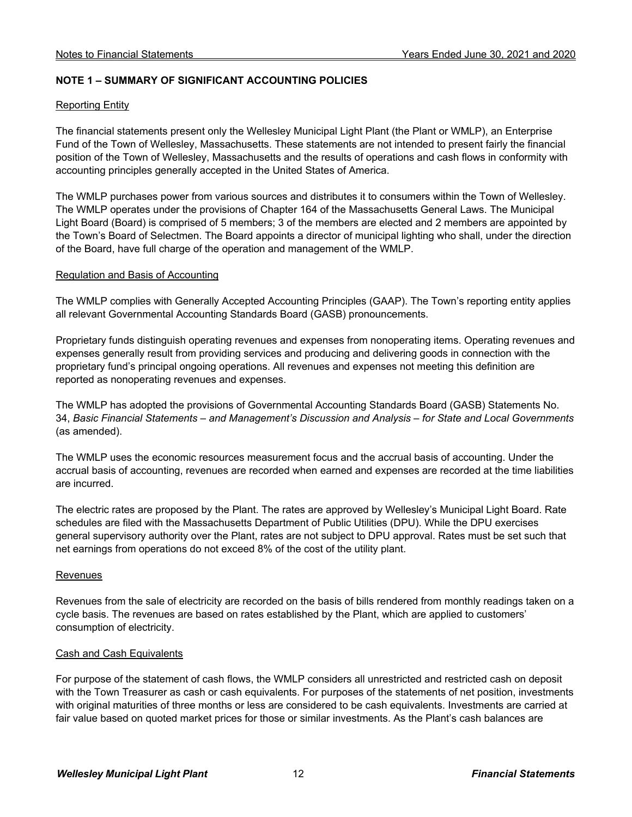#### **NOTE 1 – SUMMARY OF SIGNIFICANT ACCOUNTING POLICIES**

#### Reporting Entity

The financial statements present only the Wellesley Municipal Light Plant (the Plant or WMLP), an Enterprise Fund of the Town of Wellesley, Massachusetts. These statements are not intended to present fairly the financial position of the Town of Wellesley, Massachusetts and the results of operations and cash flows in conformity with accounting principles generally accepted in the United States of America.

The WMLP purchases power from various sources and distributes it to consumers within the Town of Wellesley. The WMLP operates under the provisions of Chapter 164 of the Massachusetts General Laws. The Municipal Light Board (Board) is comprised of 5 members; 3 of the members are elected and 2 members are appointed by the Town's Board of Selectmen. The Board appoints a director of municipal lighting who shall, under the direction of the Board, have full charge of the operation and management of the WMLP.

#### Regulation and Basis of Accounting

The WMLP complies with Generally Accepted Accounting Principles (GAAP). The Town's reporting entity applies all relevant Governmental Accounting Standards Board (GASB) pronouncements.

Proprietary funds distinguish operating revenues and expenses from nonoperating items. Operating revenues and expenses generally result from providing services and producing and delivering goods in connection with the proprietary fund's principal ongoing operations. All revenues and expenses not meeting this definition are reported as nonoperating revenues and expenses.

The WMLP has adopted the provisions of Governmental Accounting Standards Board (GASB) Statements No. 34, *Basic Financial Statements – and Management's Discussion and Analysis – for State and Local Governments*  (as amended).

The WMLP uses the economic resources measurement focus and the accrual basis of accounting. Under the accrual basis of accounting, revenues are recorded when earned and expenses are recorded at the time liabilities are incurred.

The electric rates are proposed by the Plant. The rates are approved by Wellesley's Municipal Light Board. Rate schedules are filed with the Massachusetts Department of Public Utilities (DPU). While the DPU exercises general supervisory authority over the Plant, rates are not subject to DPU approval. Rates must be set such that net earnings from operations do not exceed 8% of the cost of the utility plant.

#### Revenues

Revenues from the sale of electricity are recorded on the basis of bills rendered from monthly readings taken on a cycle basis. The revenues are based on rates established by the Plant, which are applied to customers' consumption of electricity.

#### Cash and Cash Equivalents

For purpose of the statement of cash flows, the WMLP considers all unrestricted and restricted cash on deposit with the Town Treasurer as cash or cash equivalents. For purposes of the statements of net position, investments with original maturities of three months or less are considered to be cash equivalents. Investments are carried at fair value based on quoted market prices for those or similar investments. As the Plant's cash balances are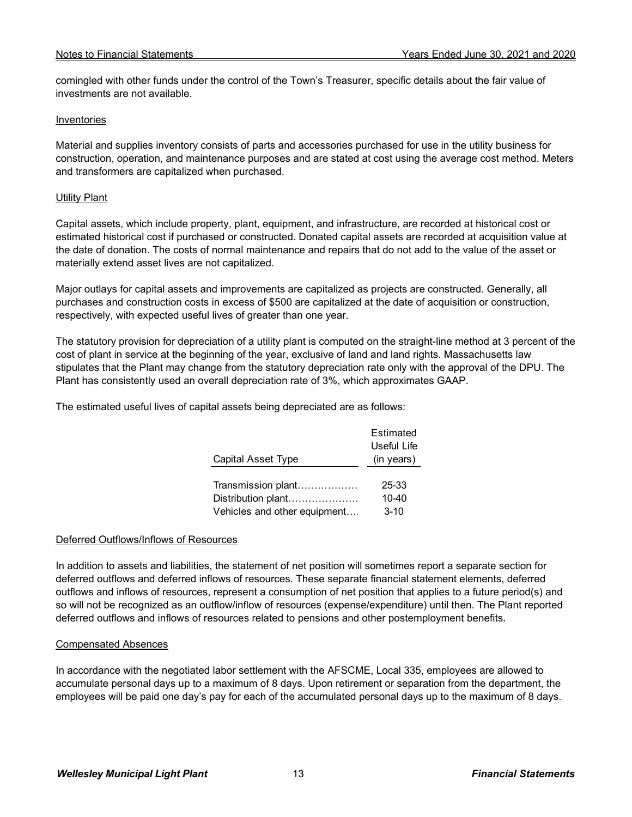comingled with other funds under the control of the Town's Treasurer, specific details about the fair value of investments are not available.

#### Inventories

Material and supplies inventory consists of parts and accessories purchased for use in the utility business for construction, operation, and maintenance purposes and are stated at cost using the average cost method. Meters and transformers are capitalized when purchased.

#### Utility Plant

Capital assets, which include property, plant, equipment, and infrastructure, are recorded at historical cost or estimated historical cost if purchased or constructed. Donated capital assets are recorded at acquisition value at the date of donation. The costs of normal maintenance and repairs that do not add to the value of the asset or materially extend asset lives are not capitalized.

Major outlays for capital assets and improvements are capitalized as projects are constructed. Generally, all purchases and construction costs in excess of \$500 are capitalized at the date of acquisition or construction, respectively, with expected useful lives of greater than one year.

The statutory provision for depreciation of a utility plant is computed on the straight-line method at 3 percent of the cost of plant in service at the beginning of the year, exclusive of land and land rights. Massachusetts law stipulates that the Plant may change from the statutory depreciation rate only with the approval of the DPU. The Plant has consistently used an overall depreciation rate of 3%, which approximates GAAP.

The estimated useful lives of capital assets being depreciated are as follows:

|                              | Estimated   |
|------------------------------|-------------|
|                              | Useful Life |
| Capital Asset Type           | (in years)  |
|                              |             |
| Transmission plant           | 25-33       |
| Distribution plant           | $10 - 40$   |
| Vehicles and other equipment | $3 - 10$    |

#### Deferred Outflows/Inflows of Resources

In addition to assets and liabilities, the statement of net position will sometimes report a separate section for deferred outflows and deferred inflows of resources. These separate financial statement elements, deferred outflows and inflows of resources, represent a consumption of net position that applies to a future period(s) and so will not be recognized as an outflow/inflow of resources (expense/expenditure) until then. The Plant reported deferred outflows and inflows of resources related to pensions and other postemployment benefits.

#### Compensated Absences

In accordance with the negotiated labor settlement with the AFSCME, Local 335, employees are allowed to accumulate personal days up to a maximum of 8 days. Upon retirement or separation from the department, the employees will be paid one day's pay for each of the accumulated personal days up to the maximum of 8 days.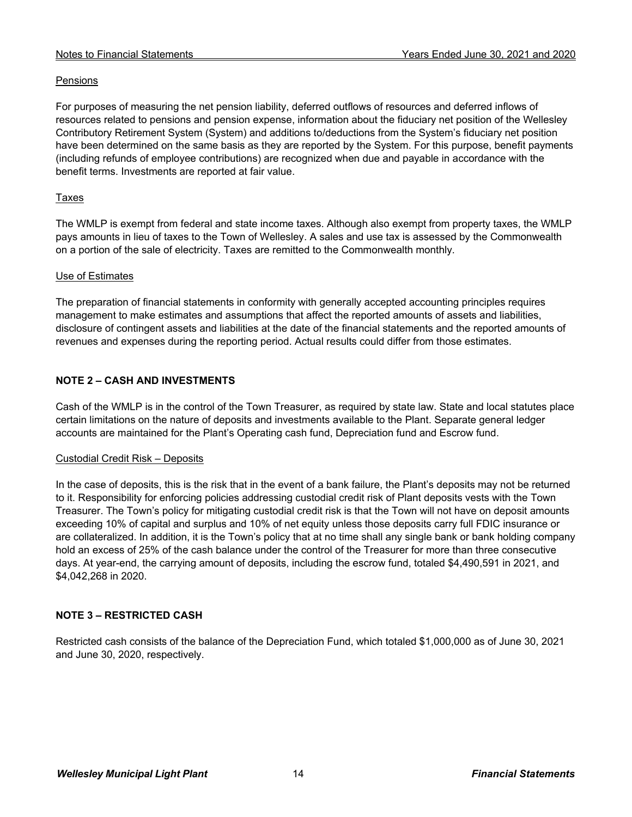#### Pensions

For purposes of measuring the net pension liability, deferred outflows of resources and deferred inflows of resources related to pensions and pension expense, information about the fiduciary net position of the Wellesley Contributory Retirement System (System) and additions to/deductions from the System's fiduciary net position have been determined on the same basis as they are reported by the System. For this purpose, benefit payments (including refunds of employee contributions) are recognized when due and payable in accordance with the benefit terms. Investments are reported at fair value.

## Taxes

The WMLP is exempt from federal and state income taxes. Although also exempt from property taxes, the WMLP pays amounts in lieu of taxes to the Town of Wellesley. A sales and use tax is assessed by the Commonwealth on a portion of the sale of electricity. Taxes are remitted to the Commonwealth monthly.

## Use of Estimates

The preparation of financial statements in conformity with generally accepted accounting principles requires management to make estimates and assumptions that affect the reported amounts of assets and liabilities, disclosure of contingent assets and liabilities at the date of the financial statements and the reported amounts of revenues and expenses during the reporting period. Actual results could differ from those estimates.

## **NOTE 2 – CASH AND INVESTMENTS**

Cash of the WMLP is in the control of the Town Treasurer, as required by state law. State and local statutes place certain limitations on the nature of deposits and investments available to the Plant. Separate general ledger accounts are maintained for the Plant's Operating cash fund, Depreciation fund and Escrow fund.

## Custodial Credit Risk – Deposits

In the case of deposits, this is the risk that in the event of a bank failure, the Plant's deposits may not be returned to it. Responsibility for enforcing policies addressing custodial credit risk of Plant deposits vests with the Town Treasurer. The Town's policy for mitigating custodial credit risk is that the Town will not have on deposit amounts exceeding 10% of capital and surplus and 10% of net equity unless those deposits carry full FDIC insurance or are collateralized. In addition, it is the Town's policy that at no time shall any single bank or bank holding company hold an excess of 25% of the cash balance under the control of the Treasurer for more than three consecutive days. At year-end, the carrying amount of deposits, including the escrow fund, totaled \$4,490,591 in 2021, and \$4,042,268 in 2020.

## **NOTE 3 – RESTRICTED CASH**

Restricted cash consists of the balance of the Depreciation Fund, which totaled \$1,000,000 as of June 30, 2021 and June 30, 2020, respectively.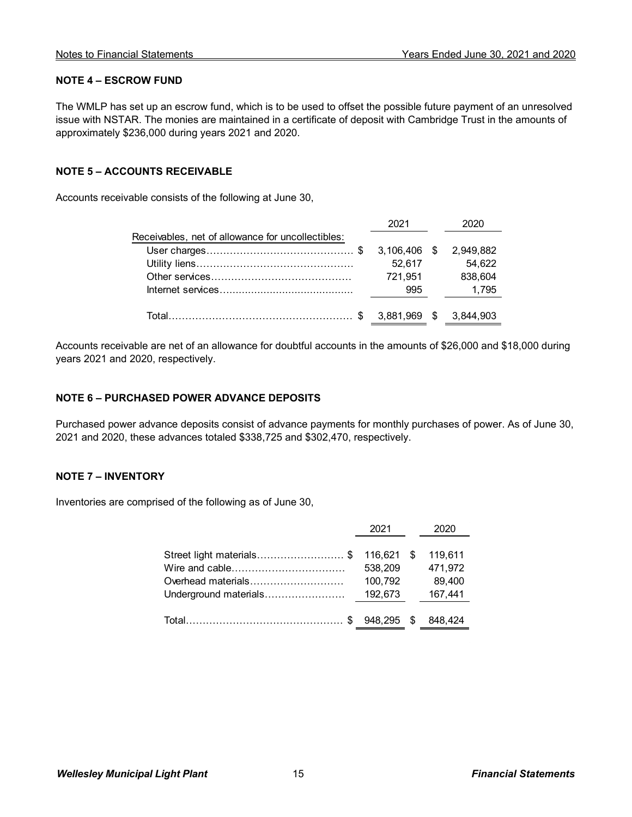#### **NOTE 4 – ESCROW FUND**

The WMLP has set up an escrow fund, which is to be used to offset the possible future payment of an unresolved issue with NSTAR. The monies are maintained in a certificate of deposit with Cambridge Trust in the amounts of approximately \$236,000 during years 2021 and 2020.

#### **NOTE 5 – ACCOUNTS RECEIVABLE**

Accounts receivable consists of the following at June 30,

|                                                           | 2021    |                        |
|-----------------------------------------------------------|---------|------------------------|
| Receivables, net of allowance for uncollectibles:         |         |                        |
|                                                           |         | 3,106,406 \$ 2,949,882 |
|                                                           | 52.617  | 54,622                 |
|                                                           | 721.951 | 838,604                |
|                                                           | 995     | 1,795                  |
| Total………………………………………………………    \$  3.881.969 \$  3.844.903 |         |                        |

Accounts receivable are net of an allowance for doubtful accounts in the amounts of \$26,000 and \$18,000 during years 2021 and 2020, respectively.

#### **NOTE 6 – PURCHASED POWER ADVANCE DEPOSITS**

Purchased power advance deposits consist of advance payments for monthly purchases of power. As of June 30, 2021 and 2020, these advances totaled \$338,725 and \$302,470, respectively.

#### **NOTE 7 – INVENTORY**

Inventories are comprised of the following as of June 30,

|                          | 2021       | 2020    |
|--------------------------|------------|---------|
| Street light materials\$ | 116.621 \$ | 119.611 |
|                          | 538.209    | 471,972 |
|                          | 100,792    | 89,400  |
|                          | 192,673    | 167,441 |
|                          |            | 848.424 |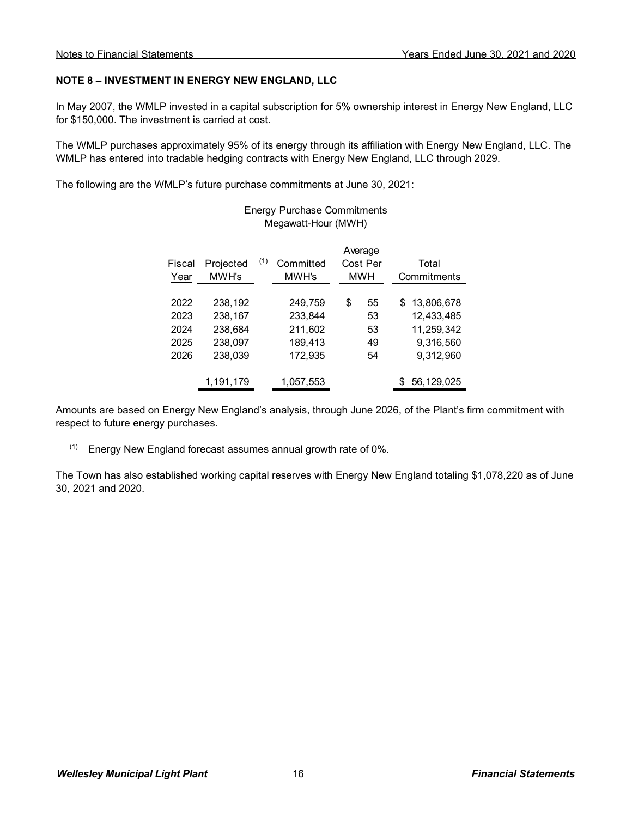#### **NOTE 8 – INVESTMENT IN ENERGY NEW ENGLAND, LLC**

In May 2007, the WMLP invested in a capital subscription for 5% ownership interest in Energy New England, LLC for \$150,000. The investment is carried at cost.

The WMLP purchases approximately 95% of its energy through its affiliation with Energy New England, LLC. The WMLP has entered into tradable hedging contracts with Energy New England, LLC through 2029.

Energy Purchase Commitments

The following are the WMLP's future purchase commitments at June 30, 2021:

| Megawatt-Hour (MWH)                  |                                                     |     |                                                     |                                   |                            |    |                                                                  |  |  |
|--------------------------------------|-----------------------------------------------------|-----|-----------------------------------------------------|-----------------------------------|----------------------------|----|------------------------------------------------------------------|--|--|
| Fiscal<br>Year                       | Projected<br>MWH's                                  | (1) | Committed<br>MWH's                                  | Average<br>Cost Per<br><b>MWH</b> |                            |    | Total<br>Commitments                                             |  |  |
| 2022<br>2023<br>2024<br>2025<br>2026 | 238,192<br>238,167<br>238,684<br>238,097<br>238,039 |     | 249,759<br>233,844<br>211,602<br>189.413<br>172,935 | \$                                | 55<br>53<br>53<br>49<br>54 | \$ | 13,806,678<br>12,433,485<br>11,259,342<br>9.316.560<br>9,312,960 |  |  |
|                                      | 1,191,179                                           |     | 1,057,553                                           |                                   |                            | S  | 56,129,025                                                       |  |  |

Amounts are based on Energy New England's analysis, through June 2026, of the Plant's firm commitment with respect to future energy purchases.

 $(1)$  Energy New England forecast assumes annual growth rate of 0%.

The Town has also established working capital reserves with Energy New England totaling \$1,078,220 as of June 30, 2021 and 2020.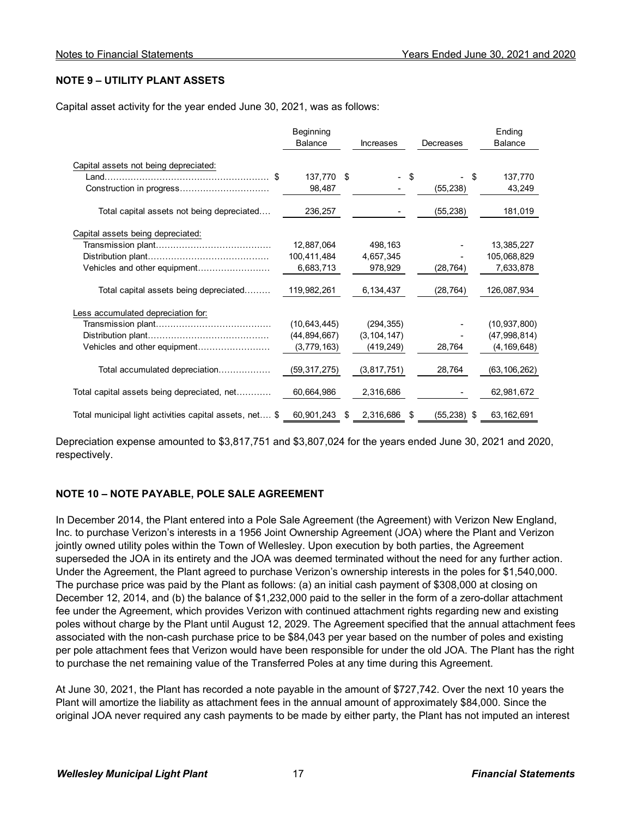#### **NOTE 9 – UTILITY PLANT ASSETS**

Capital asset activity for the year ended June 30, 2021, was as follows:

|                                                         | Beginning<br><b>Balance</b><br><b>Increases</b> |     |               | Decreases | Ending<br><b>Balance</b> |                |
|---------------------------------------------------------|-------------------------------------------------|-----|---------------|-----------|--------------------------|----------------|
| Capital assets not being depreciated:                   |                                                 |     |               |           |                          |                |
|                                                         | 137,770 \$                                      |     |               | $-$ \$    |                          | \$<br>137,770  |
|                                                         | 98,487                                          |     |               |           | (55, 238)                | 43,249         |
| Total capital assets not being depreciated              | 236,257                                         |     |               |           | (55, 238)                | 181,019        |
| Capital assets being depreciated:                       |                                                 |     |               |           |                          |                |
|                                                         | 12,887,064                                      |     | 498,163       |           |                          | 13,385,227     |
|                                                         | 100,411,484                                     |     | 4,657,345     |           |                          | 105,068,829    |
|                                                         | 6,683,713                                       |     | 978,929       |           | (28, 764)                | 7,633,878      |
| Total capital assets being depreciated                  | 119,982,261                                     |     | 6,134,437     |           | (28, 764)                | 126,087,934    |
| Less accumulated depreciation for:                      |                                                 |     |               |           |                          |                |
|                                                         | (10, 643, 445)                                  |     | (294, 355)    |           |                          | (10, 937, 800) |
|                                                         | (44, 894, 667)                                  |     | (3, 104, 147) |           |                          | (47, 998, 814) |
|                                                         | (3,779,163)                                     |     | (419, 249)    |           | 28,764                   | (4, 169, 648)  |
| Total accumulated depreciation                          | (59, 317, 275)                                  |     | (3,817,751)   |           | 28,764                   | (63, 106, 262) |
| Total capital assets being depreciated, net             | 60,664,986                                      |     | 2,316,686     |           |                          | 62,981,672     |
| Total municipal light activities capital assets, net \$ | 60,901,243                                      | -\$ | 2,316,686     | \$        | $(55,238)$ \$            | 63.162,691     |

Depreciation expense amounted to \$3,817,751 and \$3,807,024 for the years ended June 30, 2021 and 2020, respectively.

#### **NOTE 10 – NOTE PAYABLE, POLE SALE AGREEMENT**

In December 2014, the Plant entered into a Pole Sale Agreement (the Agreement) with Verizon New England, Inc. to purchase Verizon's interests in a 1956 Joint Ownership Agreement (JOA) where the Plant and Verizon jointly owned utility poles within the Town of Wellesley. Upon execution by both parties, the Agreement superseded the JOA in its entirety and the JOA was deemed terminated without the need for any further action. Under the Agreement, the Plant agreed to purchase Verizon's ownership interests in the poles for \$1,540,000. The purchase price was paid by the Plant as follows: (a) an initial cash payment of \$308,000 at closing on December 12, 2014, and (b) the balance of \$1,232,000 paid to the seller in the form of a zero-dollar attachment fee under the Agreement, which provides Verizon with continued attachment rights regarding new and existing poles without charge by the Plant until August 12, 2029. The Agreement specified that the annual attachment fees associated with the non-cash purchase price to be \$84,043 per year based on the number of poles and existing per pole attachment fees that Verizon would have been responsible for under the old JOA. The Plant has the right to purchase the net remaining value of the Transferred Poles at any time during this Agreement.

At June 30, 2021, the Plant has recorded a note payable in the amount of \$727,742. Over the next 10 years the Plant will amortize the liability as attachment fees in the annual amount of approximately \$84,000. Since the original JOA never required any cash payments to be made by either party, the Plant has not imputed an interest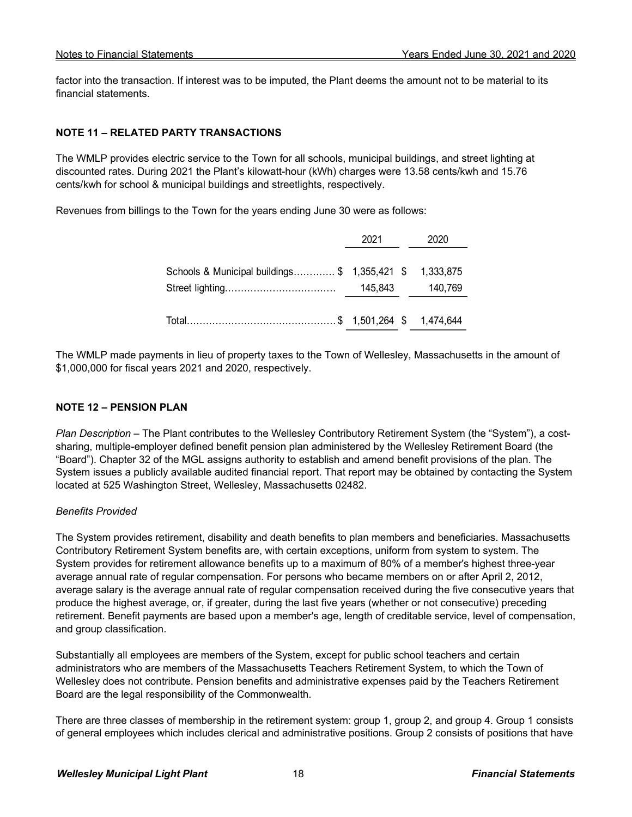factor into the transaction. If interest was to be imputed, the Plant deems the amount not to be material to its financial statements.

#### **NOTE 11 – RELATED PARTY TRANSACTIONS**

The WMLP provides electric service to the Town for all schools, municipal buildings, and street lighting at discounted rates. During 2021 the Plant's kilowatt-hour (kWh) charges were 13.58 cents/kwh and 15.76 cents/kwh for school & municipal buildings and streetlights, respectively.

Revenues from billings to the Town for the years ending June 30 were as follows:

|                                                        | 2021    | 2020    |  |
|--------------------------------------------------------|---------|---------|--|
| Schools & Municipal buildings\$ 1,355,421 \$ 1,333,875 | 145,843 | 140,769 |  |
|                                                        |         |         |  |

The WMLP made payments in lieu of property taxes to the Town of Wellesley, Massachusetts in the amount of \$1,000,000 for fiscal years 2021 and 2020, respectively.

#### **NOTE 12 – PENSION PLAN**

*Plan Description* – The Plant contributes to the Wellesley Contributory Retirement System (the "System"), a costsharing, multiple-employer defined benefit pension plan administered by the Wellesley Retirement Board (the "Board"). Chapter 32 of the MGL assigns authority to establish and amend benefit provisions of the plan. The System issues a publicly available audited financial report. That report may be obtained by contacting the System located at 525 Washington Street, Wellesley, Massachusetts 02482.

#### *Benefits Provided*

The System provides retirement, disability and death benefits to plan members and beneficiaries. Massachusetts Contributory Retirement System benefits are, with certain exceptions, uniform from system to system. The System provides for retirement allowance benefits up to a maximum of 80% of a member's highest three-year average annual rate of regular compensation. For persons who became members on or after April 2, 2012, average salary is the average annual rate of regular compensation received during the five consecutive years that produce the highest average, or, if greater, during the last five years (whether or not consecutive) preceding retirement. Benefit payments are based upon a member's age, length of creditable service, level of compensation, and group classification.

Substantially all employees are members of the System, except for public school teachers and certain administrators who are members of the Massachusetts Teachers Retirement System, to which the Town of Wellesley does not contribute. Pension benefits and administrative expenses paid by the Teachers Retirement Board are the legal responsibility of the Commonwealth.

There are three classes of membership in the retirement system: group 1, group 2, and group 4. Group 1 consists of general employees which includes clerical and administrative positions. Group 2 consists of positions that have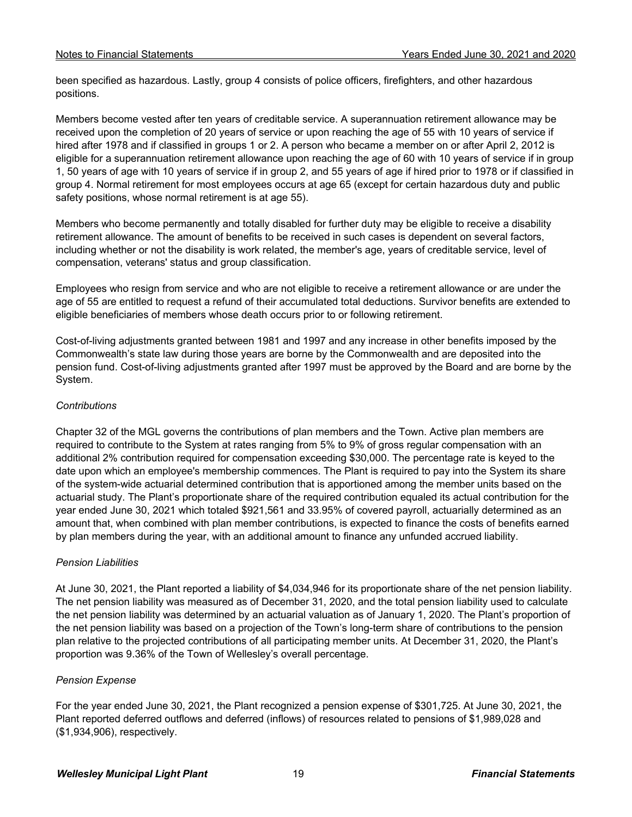been specified as hazardous. Lastly, group 4 consists of police officers, firefighters, and other hazardous positions.

Members become vested after ten years of creditable service. A superannuation retirement allowance may be received upon the completion of 20 years of service or upon reaching the age of 55 with 10 years of service if hired after 1978 and if classified in groups 1 or 2. A person who became a member on or after April 2, 2012 is eligible for a superannuation retirement allowance upon reaching the age of 60 with 10 years of service if in group 1, 50 years of age with 10 years of service if in group 2, and 55 years of age if hired prior to 1978 or if classified in group 4. Normal retirement for most employees occurs at age 65 (except for certain hazardous duty and public safety positions, whose normal retirement is at age 55).

Members who become permanently and totally disabled for further duty may be eligible to receive a disability retirement allowance. The amount of benefits to be received in such cases is dependent on several factors, including whether or not the disability is work related, the member's age, years of creditable service, level of compensation, veterans' status and group classification.

Employees who resign from service and who are not eligible to receive a retirement allowance or are under the age of 55 are entitled to request a refund of their accumulated total deductions. Survivor benefits are extended to eligible beneficiaries of members whose death occurs prior to or following retirement.

Cost-of-living adjustments granted between 1981 and 1997 and any increase in other benefits imposed by the Commonwealth's state law during those years are borne by the Commonwealth and are deposited into the pension fund. Cost-of-living adjustments granted after 1997 must be approved by the Board and are borne by the System.

## *Contributions*

Chapter 32 of the MGL governs the contributions of plan members and the Town. Active plan members are required to contribute to the System at rates ranging from 5% to 9% of gross regular compensation with an additional 2% contribution required for compensation exceeding \$30,000. The percentage rate is keyed to the date upon which an employee's membership commences. The Plant is required to pay into the System its share of the system-wide actuarial determined contribution that is apportioned among the member units based on the actuarial study. The Plant's proportionate share of the required contribution equaled its actual contribution for the year ended June 30, 2021 which totaled \$921,561 and 33.95% of covered payroll, actuarially determined as an amount that, when combined with plan member contributions, is expected to finance the costs of benefits earned by plan members during the year, with an additional amount to finance any unfunded accrued liability.

#### *Pension Liabilities*

At June 30, 2021, the Plant reported a liability of \$4,034,946 for its proportionate share of the net pension liability. The net pension liability was measured as of December 31, 2020, and the total pension liability used to calculate the net pension liability was determined by an actuarial valuation as of January 1, 2020. The Plant's proportion of the net pension liability was based on a projection of the Town's long-term share of contributions to the pension plan relative to the projected contributions of all participating member units. At December 31, 2020, the Plant's proportion was 9.36% of the Town of Wellesley's overall percentage.

#### *Pension Expense*

For the year ended June 30, 2021, the Plant recognized a pension expense of \$301,725. At June 30, 2021, the Plant reported deferred outflows and deferred (inflows) of resources related to pensions of \$1,989,028 and (\$1,934,906), respectively.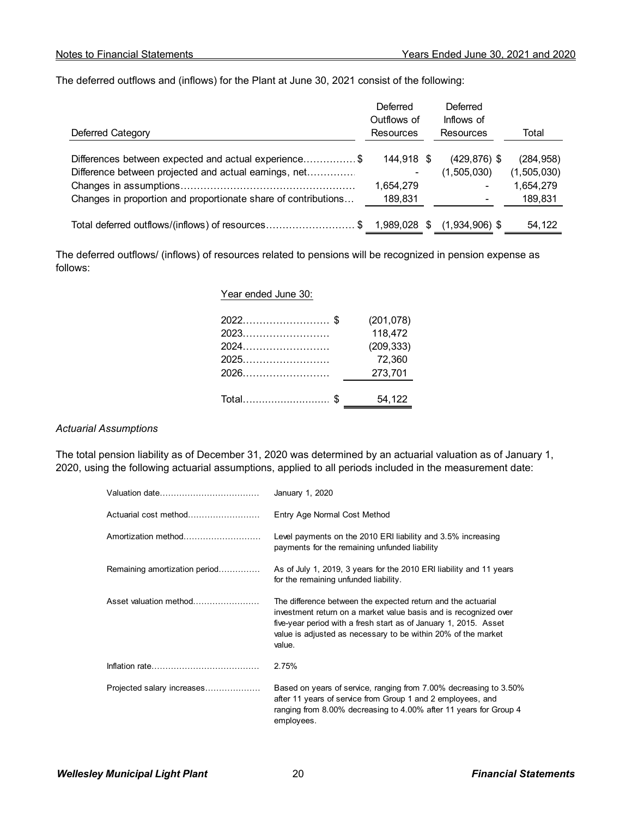The deferred outflows and (inflows) for the Plant at June 30, 2021 consist of the following:

| Deferred Category                                                                                                                                                               | Deferred<br>Outflows of<br>Resources                 |    | Deferred<br>Inflows of<br>Resources | Total                                             |
|---------------------------------------------------------------------------------------------------------------------------------------------------------------------------------|------------------------------------------------------|----|-------------------------------------|---------------------------------------------------|
| Differences between expected and actual experience\$<br>Difference between projected and actual earnings, net<br>Changes in proportion and proportionate share of contributions | 144,918 \$<br>$\overline{a}$<br>1,654,279<br>189,831 |    | $(429, 876)$ \$<br>(1,505,030)      | (284, 958)<br>(1,505,030)<br>1,654,279<br>189,831 |
| Total deferred outflows/(inflows) of resources\$                                                                                                                                | 1,989,028                                            | -S | $(1.934.906)$ \$                    | 54,122                                            |

The deferred outflows/ (inflows) of resources related to pensions will be recognized in pension expense as follows:

| Year ended June 30: |                                                          |
|---------------------|----------------------------------------------------------|
| 2022\$<br>2023      | (201, 078)<br>118,472<br>(209, 333)<br>72,360<br>273,701 |
| Total\$             | 54,122                                                   |

#### *Actuarial Assumptions*

The total pension liability as of December 31, 2020 was determined by an actuarial valuation as of January 1, 2020, using the following actuarial assumptions, applied to all periods included in the measurement date:

| Valuation date                | January 1, 2020                                                                                                                                                                                                                                                                 |
|-------------------------------|---------------------------------------------------------------------------------------------------------------------------------------------------------------------------------------------------------------------------------------------------------------------------------|
| Actuarial cost method         | Entry Age Normal Cost Method                                                                                                                                                                                                                                                    |
| Amortization method           | Level payments on the 2010 ERI liability and 3.5% increasing<br>payments for the remaining unfunded liability                                                                                                                                                                   |
| Remaining amortization period | As of July 1, 2019, 3 years for the 2010 ERI liability and 11 years<br>for the remaining unfunded liability.                                                                                                                                                                    |
| Asset valuation method        | The difference between the expected return and the actuarial<br>investment return on a market value basis and is recognized over<br>five-year period with a fresh start as of January 1, 2015. Asset<br>value is adjusted as necessary to be within 20% of the market<br>value. |
|                               | 2.75%                                                                                                                                                                                                                                                                           |
| Projected salary increases    | Based on years of service, ranging from 7.00% decreasing to 3.50%<br>after 11 years of service from Group 1 and 2 employees, and<br>ranging from 8.00% decreasing to 4.00% after 11 years for Group 4<br>employees.                                                             |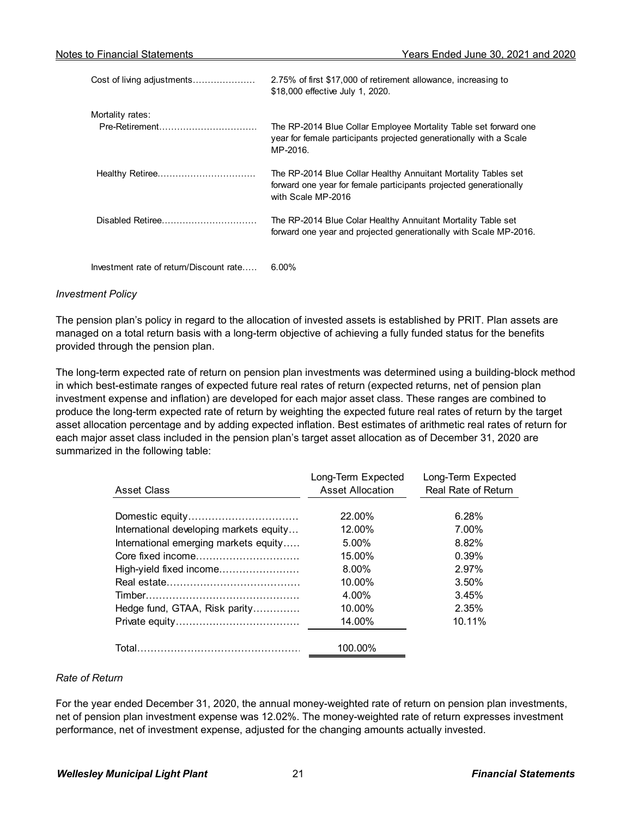| Cost of living adjustments | 2.75% of first \$17,000 of retirement allowance, increasing to<br>\$18,000 effective July 1, 2020.                                                        |
|----------------------------|-----------------------------------------------------------------------------------------------------------------------------------------------------------|
| Mortality rates:           | The RP-2014 Blue Collar Employee Mortality Table set forward one<br>year for female participants projected generationally with a Scale<br>MP-2016.        |
|                            | The RP-2014 Blue Collar Healthy Annuitant Mortality Tables set<br>forward one year for female participants projected generationally<br>with Scale MP-2016 |
| Disabled Retiree           | The RP-2014 Blue Colar Healthy Annuitant Mortality Table set<br>forward one year and projected generationally with Scale MP-2016.                         |
|                            |                                                                                                                                                           |

Investment rate of return/Discount rate…… 6.00%

#### *Investment Policy*

The pension plan's policy in regard to the allocation of invested assets is established by PRIT. Plan assets are managed on a total return basis with a long-term objective of achieving a fully funded status for the benefits provided through the pension plan.

The long-term expected rate of return on pension plan investments was determined using a building-block method in which best-estimate ranges of expected future real rates of return (expected returns, net of pension plan investment expense and inflation) are developed for each major asset class. These ranges are combined to produce the long-term expected rate of return by weighting the expected future real rates of return by the target asset allocation percentage and by adding expected inflation. Best estimates of arithmetic real rates of return for each major asset class included in the pension plan's target asset allocation as of December 31, 2020 are summarized in the following table:

| Asset Class                             | Long-Term Expected<br><b>Asset Allocation</b> | Long-Term Expected<br>Real Rate of Return |
|-----------------------------------------|-----------------------------------------------|-------------------------------------------|
|                                         |                                               |                                           |
|                                         | 22.00%                                        | 6.28%                                     |
| International developing markets equity | 12.00%                                        | 7.00%                                     |
| International emerging markets equity   | 5.00%                                         | 8.82%                                     |
|                                         | 15.00%                                        | 0.39%                                     |
| High-yield fixed income                 | 8.00%                                         | 2.97%                                     |
|                                         | 10.00%                                        | 3.50%                                     |
|                                         | 4.00%                                         | 3.45%                                     |
| Hedge fund, GTAA, Risk parity           | 10.00%                                        | 2.35%                                     |
|                                         | 14.00%                                        | 10.11%                                    |
| Total.                                  | 100.00%                                       |                                           |

#### *Rate of Return*

For the year ended December 31, 2020, the annual money-weighted rate of return on pension plan investments, net of pension plan investment expense was 12.02%. The money-weighted rate of return expresses investment performance, net of investment expense, adjusted for the changing amounts actually invested.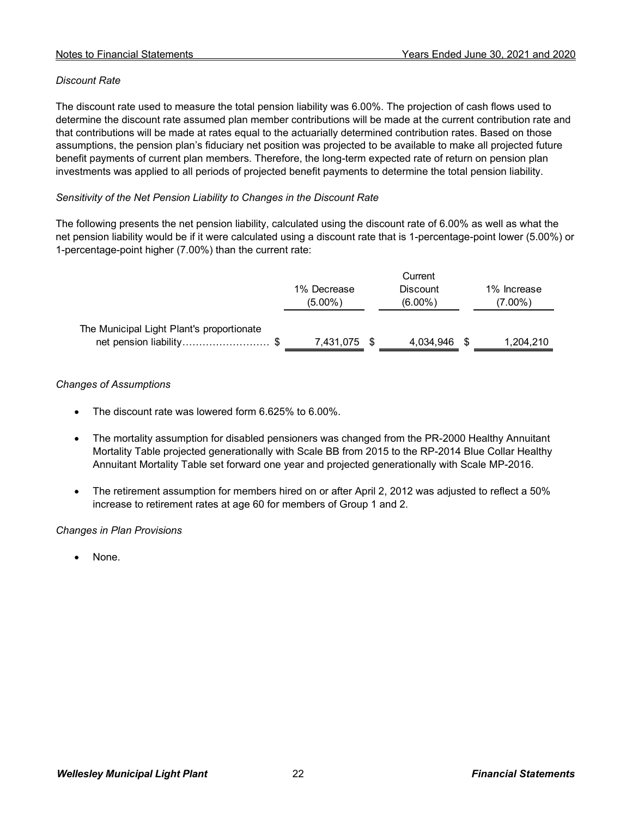#### *Discount Rate*

The discount rate used to measure the total pension liability was 6.00%. The projection of cash flows used to determine the discount rate assumed plan member contributions will be made at the current contribution rate and that contributions will be made at rates equal to the actuarially determined contribution rates. Based on those assumptions, the pension plan's fiduciary net position was projected to be available to make all projected future benefit payments of current plan members. Therefore, the long-term expected rate of return on pension plan investments was applied to all periods of projected benefit payments to determine the total pension liability.

#### *Sensitivity of the Net Pension Liability to Changes in the Discount Rate*

The following presents the net pension liability, calculated using the discount rate of 6.00% as well as what the net pension liability would be if it were calculated using a discount rate that is 1-percentage-point lower (5.00%) or 1-percentage-point higher (7.00%) than the current rate:

|                                                                      |              | Current         |             |
|----------------------------------------------------------------------|--------------|-----------------|-------------|
|                                                                      | 1% Decrease  | <b>Discount</b> | 1% Increase |
|                                                                      | $(5.00\%)$   | $(6.00\%)$      | $(7.00\%)$  |
|                                                                      |              |                 |             |
| The Municipal Light Plant's proportionate<br>net pension liability\$ | 7,431,075 \$ | 4,034,946       | 1,204,210   |

#### *Changes of Assumptions*

- The discount rate was lowered form 6.625% to 6.00%.
- The mortality assumption for disabled pensioners was changed from the PR-2000 Healthy Annuitant Mortality Table projected generationally with Scale BB from 2015 to the RP-2014 Blue Collar Healthy Annuitant Mortality Table set forward one year and projected generationally with Scale MP-2016.
- The retirement assumption for members hired on or after April 2, 2012 was adjusted to reflect a 50% increase to retirement rates at age 60 for members of Group 1 and 2.

#### *Changes in Plan Provisions*

None.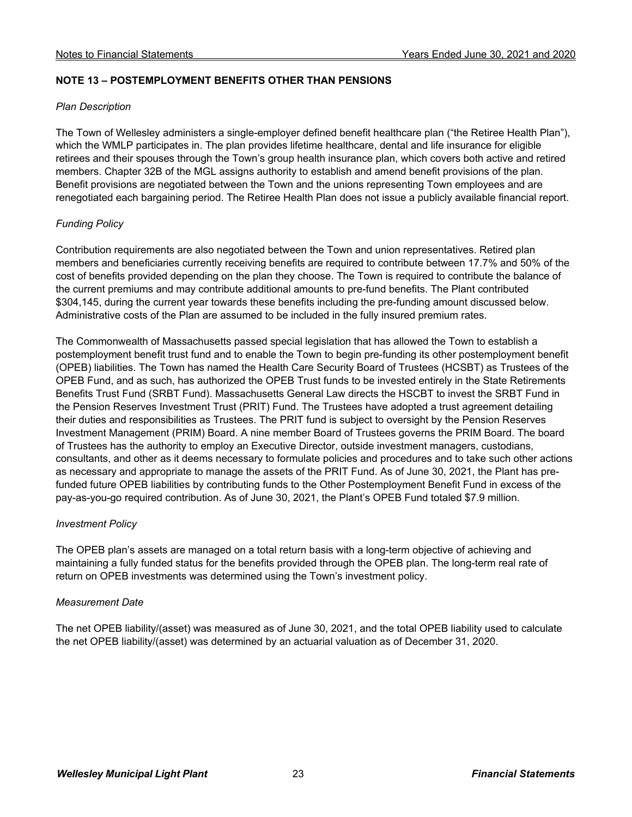#### **NOTE 13 – POSTEMPLOYMENT BENEFITS OTHER THAN PENSIONS**

#### *Plan Description*

The Town of Wellesley administers a single-employer defined benefit healthcare plan ("the Retiree Health Plan"), which the WMLP participates in. The plan provides lifetime healthcare, dental and life insurance for eligible retirees and their spouses through the Town's group health insurance plan, which covers both active and retired members. Chapter 32B of the MGL assigns authority to establish and amend benefit provisions of the plan. Benefit provisions are negotiated between the Town and the unions representing Town employees and are renegotiated each bargaining period. The Retiree Health Plan does not issue a publicly available financial report.

#### *Funding Policy*

Contribution requirements are also negotiated between the Town and union representatives. Retired plan members and beneficiaries currently receiving benefits are required to contribute between 17.7% and 50% of the cost of benefits provided depending on the plan they choose. The Town is required to contribute the balance of the current premiums and may contribute additional amounts to pre-fund benefits. The Plant contributed \$304.145, during the current year towards these benefits including the pre-funding amount discussed below. Administrative costs of the Plan are assumed to be included in the fully insured premium rates.

The Commonwealth of Massachusetts passed special legislation that has allowed the Town to establish a postemployment benefit trust fund and to enable the Town to begin pre-funding its other postemployment benefit (OPEB) liabilities. The Town has named the Health Care Security Board of Trustees (HCSBT) as Trustees of the OPEB Fund, and as such, has authorized the OPEB Trust funds to be invested entirely in the State Retirements Benefits Trust Fund (SRBT Fund). Massachusetts General Law directs the HSCBT to invest the SRBT Fund in the Pension Reserves Investment Trust (PRIT) Fund. The Trustees have adopted a trust agreement detailing their duties and responsibilities as Trustees. The PRIT fund is subject to oversight by the Pension Reserves Investment Management (PRIM) Board. A nine member Board of Trustees governs the PRIM Board. The board of Trustees has the authority to employ an Executive Director, outside investment managers, custodians, consultants, and other as it deems necessary to formulate policies and procedures and to take such other actions as necessary and appropriate to manage the assets of the PRIT Fund. As of June 30, 2021, the Plant has prefunded future OPEB liabilities by contributing funds to the Other Postemployment Benefit Fund in excess of the pay-as-you-go required contribution. As of June 30, 2021, the Plant's OPEB Fund totaled \$7.9 million.

#### *Investment Policy*

The OPEB plan's assets are managed on a total return basis with a long-term objective of achieving and maintaining a fully funded status for the benefits provided through the OPEB plan. The long-term real rate of return on OPEB investments was determined using the Town's investment policy.

#### *Measurement Date*

The net OPEB liability/(asset) was measured as of June 30, 2021, and the total OPEB liability used to calculate the net OPEB liability/(asset) was determined by an actuarial valuation as of December 31, 2020.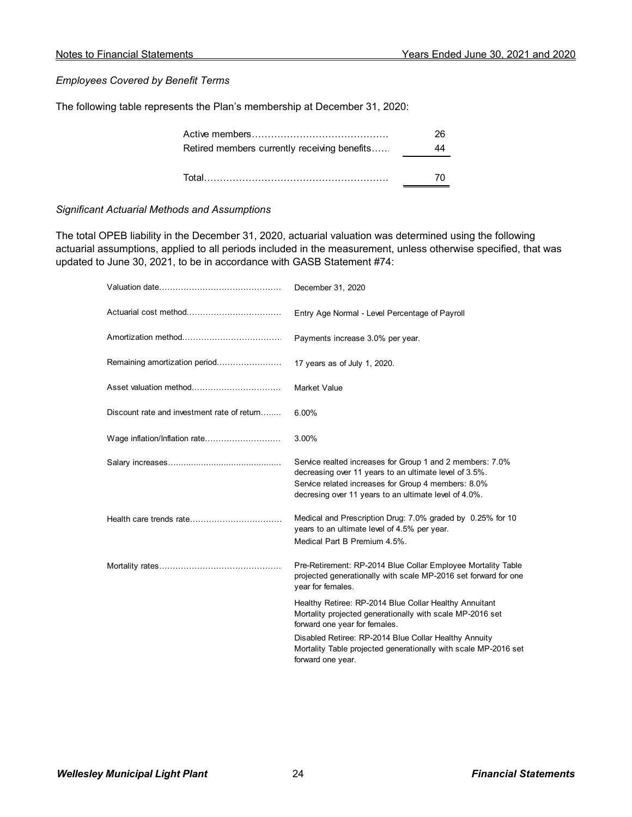#### *Employees Covered by Benefit Terms*

The following table represents the Plan's membership at December 31, 2020:

|                                              | 26 |
|----------------------------------------------|----|
| Retired members currently receiving benefits | 44 |
|                                              |    |
|                                              |    |

#### *Significant Actuarial Methods and Assumptions*

The total OPEB liability in the December 31, 2020, actuarial valuation was determined using the following actuarial assumptions, applied to all periods included in the measurement, unless otherwise specified, that was updated to June 30, 2021, to be in accordance with GASB Statement #74:

|                                             | December 31, 2020                                                                                                                                                                                                                   |
|---------------------------------------------|-------------------------------------------------------------------------------------------------------------------------------------------------------------------------------------------------------------------------------------|
|                                             | Entry Age Normal - Level Percentage of Payroll                                                                                                                                                                                      |
|                                             | Payments increase 3.0% per year.                                                                                                                                                                                                    |
| Remaining amortization period               | 17 years as of July 1, 2020.                                                                                                                                                                                                        |
|                                             | <b>Market Value</b>                                                                                                                                                                                                                 |
| Discount rate and investment rate of return | 6.00%                                                                                                                                                                                                                               |
|                                             | 3.00%                                                                                                                                                                                                                               |
|                                             | Service realted increases for Group 1 and 2 members: 7.0%<br>decreasing over 11 years to an ultimate level of 3.5%.<br>Service related increases for Group 4 members: 8.0%<br>decresing over 11 years to an ultimate level of 4.0%. |
|                                             | Medical and Prescription Drug: 7.0% graded by 0.25% for 10<br>years to an ultimate level of 4.5% per year.<br>Medical Part B Premium 4.5%.                                                                                          |
|                                             | Pre-Retirement: RP-2014 Blue Collar Employee Mortality Table<br>projected generationally with scale MP-2016 set forward for one<br>year for females.                                                                                |
|                                             | Healthy Retiree: RP-2014 Blue Collar Healthy Annuitant<br>Mortality projected generationally with scale MP-2016 set<br>forward one year for females.                                                                                |
|                                             | Disabled Retiree: RP-2014 Blue Collar Healthy Annuity<br>Mortality Table projected generationally with scale MP-2016 set<br>forward one year.                                                                                       |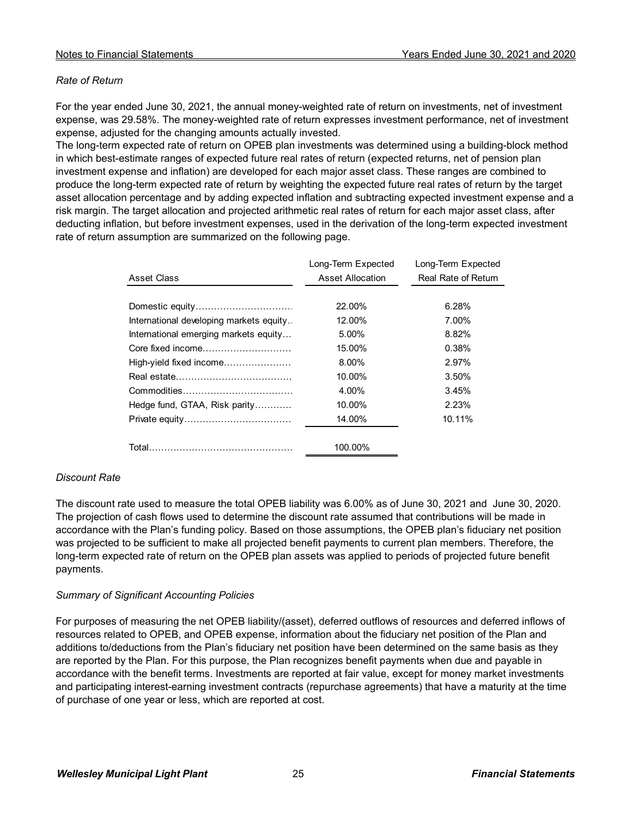## *Rate of Return*

For the year ended June 30, 2021, the annual money-weighted rate of return on investments, net of investment expense, was 29.58%. The money-weighted rate of return expresses investment performance, net of investment expense, adjusted for the changing amounts actually invested.

The long-term expected rate of return on OPEB plan investments was determined using a building-block method in which best-estimate ranges of expected future real rates of return (expected returns, net of pension plan investment expense and inflation) are developed for each major asset class. These ranges are combined to produce the long-term expected rate of return by weighting the expected future real rates of return by the target asset allocation percentage and by adding expected inflation and subtracting expected investment expense and a risk margin. The target allocation and projected arithmetic real rates of return for each major asset class, after deducting inflation, but before investment expenses, used in the derivation of the long-term expected investment rate of return assumption are summarized on the following page.

|                                          | Long-Term Expected | Long-Term Expected  |
|------------------------------------------|--------------------|---------------------|
| Asset Class                              | Asset Allocation   | Real Rate of Return |
|                                          |                    |                     |
|                                          | 22.00%             | 6.28%               |
| International developing markets equity. | 12.00%             | 7.00%               |
| International emerging markets equity    | 5.00%              | 8.82%               |
| Core fixed income                        | 15.00%             | 0.38%               |
| High-yield fixed income                  | 8.00%              | 2.97%               |
|                                          | 10.00%             | 3.50%               |
|                                          | 4.00%              | 3.45%               |
| Hedge fund, GTAA, Risk parity            | 10.00%             | 2.23%               |
|                                          | 14.00%             | 10.11%              |
| Total……………………………………………                   | 100.00%            |                     |

#### *Discount Rate*

The discount rate used to measure the total OPEB liability was 6.00% as of June 30, 2021 and June 30, 2020. The projection of cash flows used to determine the discount rate assumed that contributions will be made in accordance with the Plan's funding policy. Based on those assumptions, the OPEB plan's fiduciary net position was projected to be sufficient to make all projected benefit payments to current plan members. Therefore, the long-term expected rate of return on the OPEB plan assets was applied to periods of projected future benefit payments.

#### *Summary of Significant Accounting Policies*

For purposes of measuring the net OPEB liability/(asset), deferred outflows of resources and deferred inflows of resources related to OPEB, and OPEB expense, information about the fiduciary net position of the Plan and additions to/deductions from the Plan's fiduciary net position have been determined on the same basis as they are reported by the Plan. For this purpose, the Plan recognizes benefit payments when due and payable in accordance with the benefit terms. Investments are reported at fair value, except for money market investments and participating interest-earning investment contracts (repurchase agreements) that have a maturity at the time of purchase of one year or less, which are reported at cost.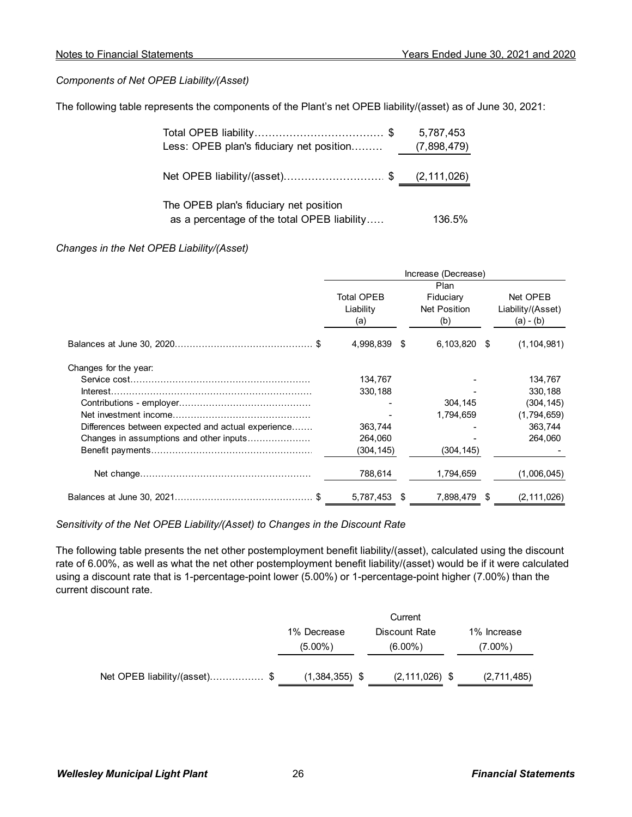#### *Components of Net OPEB Liability/(Asset)*

The following table represents the components of the Plant's net OPEB liability/(asset) as of June 30, 2021:

|                                             | 5,787,453   |
|---------------------------------------------|-------------|
| Less: OPEB plan's fiduciary net position    | (7,898,479) |
|                                             |             |
| Net OPEB liability/(asset)\$ (2,111,026)    |             |
|                                             |             |
| The OPEB plan's fiduciary net position      |             |
| as a percentage of the total OPEB liability | 136.5%      |

#### *Changes in the Net OPEB Liability/(Asset)*

|                                                    | Increase (Decrease)            |      |                                          |   |                                              |
|----------------------------------------------------|--------------------------------|------|------------------------------------------|---|----------------------------------------------|
|                                                    | Total OPEB<br>Liability<br>(a) |      | Plan<br>Fiduciary<br>Net Position<br>(b) |   | Net OPEB<br>Liability/(Asset)<br>$(a) - (b)$ |
|                                                    | 4,998,839 \$                   |      | 6,103,820 \$                             |   | (1, 104, 981)                                |
| Changes for the year:                              |                                |      |                                          |   |                                              |
|                                                    | 134,767                        |      |                                          |   | 134,767                                      |
|                                                    | 330,188                        |      |                                          |   | 330,188                                      |
|                                                    |                                |      | 304,145                                  |   | (304, 145)                                   |
|                                                    |                                |      | 1,794,659                                |   | (1,794,659)                                  |
| Differences between expected and actual experience | 363,744                        |      |                                          |   | 363,744                                      |
| Changes in assumptions and other inputs            | 264,060                        |      |                                          |   | 264,060                                      |
|                                                    | (304, 145)                     |      | (304, 145)                               |   |                                              |
|                                                    | 788,614                        |      | 1,794,659                                |   | (1,006,045)                                  |
|                                                    | 5,787,453                      | - \$ | 7,898,479                                | S | (2, 111, 026)                                |

#### *Sensitivity of the Net OPEB Liability/(Asset) to Changes in the Discount Rate*

The following table presents the net other postemployment benefit liability/(asset), calculated using the discount rate of 6.00%, as well as what the net other postemployment benefit liability/(asset) would be if it were calculated using a discount rate that is 1-percentage-point lower (5.00%) or 1-percentage-point higher (7.00%) than the current discount rate.

|                              | Current          |                    |             |  |  |
|------------------------------|------------------|--------------------|-------------|--|--|
|                              | 1% Decrease      | Discount Rate      | 1% Increase |  |  |
|                              | $(5.00\%)$       | $(6.00\%)$         | $(7.00\%)$  |  |  |
| Net OPEB liability/(asset)\$ | $(1,384,355)$ \$ | $(2, 111, 026)$ \$ | (2,711,485) |  |  |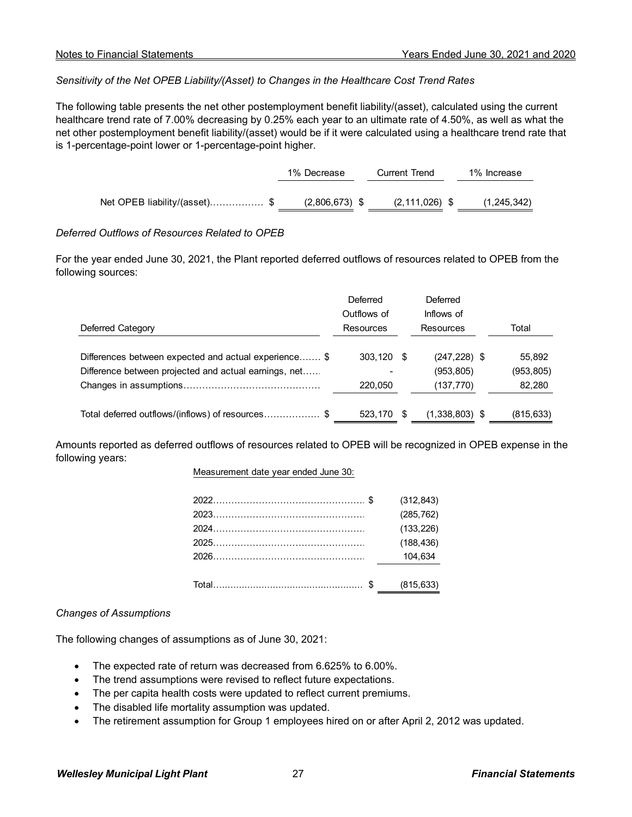#### *Sensitivity of the Net OPEB Liability/(Asset) to Changes in the Healthcare Cost Trend Rates*

The following table presents the net other postemployment benefit liability/(asset), calculated using the current healthcare trend rate of 7.00% decreasing by 0.25% each year to an ultimate rate of 4.50%, as well as what the net other postemployment benefit liability/(asset) would be if it were calculated using a healthcare trend rate that is 1-percentage-point lower or 1-percentage-point higher.

|                              | 1% Decrease      | Current Trend      | 1% Increase   |
|------------------------------|------------------|--------------------|---------------|
|                              |                  |                    |               |
| Net OPEB liability/(asset)\$ | $(2,806,673)$ \$ | $(2, 111, 026)$ \$ | (1, 245, 342) |

#### *Deferred Outflows of Resources Related to OPEB*

For the year ended June 30, 2021, the Plant reported deferred outflows of resources related to OPEB from the following sources:

| Deferred Category                                                                                              | Deferred<br>Outflows of<br><b>Resources</b> | Deferred<br>Inflows of<br>Resources | Total                |
|----------------------------------------------------------------------------------------------------------------|---------------------------------------------|-------------------------------------|----------------------|
| Differences between expected and actual experience \$<br>Difference between projected and actual earnings, net | 303,120 \$                                  | $(247, 228)$ \$<br>(953, 805)       | 55,892<br>(953, 805) |
|                                                                                                                | 220,050                                     | (137,770)                           | 82,280               |
| Total deferred outflows/(inflows) of resources\$                                                               | 523,170                                     | $(1,338,803)$ \$                    | (815, 633)           |

Amounts reported as deferred outflows of resources related to OPEB will be recognized in OPEB expense in the following years:

#### Measurement date year ended June 30:

| (312, 843) |
|------------|
| (285, 762) |
| (133, 226) |
| (188, 436) |
| 104.634    |
|            |
| (815, 633) |

#### *Changes of Assumptions*

The following changes of assumptions as of June 30, 2021:

- The expected rate of return was decreased from 6.625% to 6.00%.
- The trend assumptions were revised to reflect future expectations.
- The per capita health costs were updated to reflect current premiums.
- The disabled life mortality assumption was updated.
- The retirement assumption for Group 1 employees hired on or after April 2, 2012 was updated.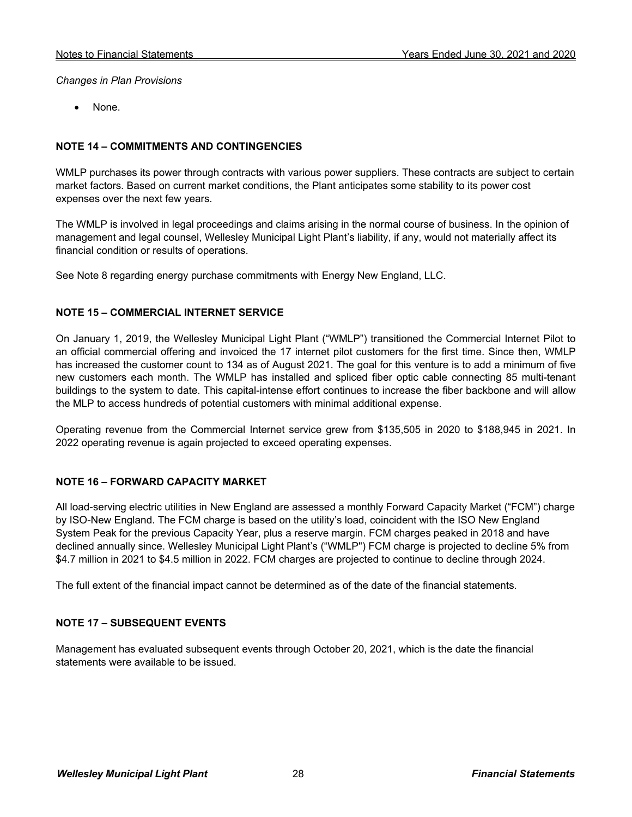*Changes in Plan Provisions* 

None.

#### **NOTE 14 – COMMITMENTS AND CONTINGENCIES**

WMLP purchases its power through contracts with various power suppliers. These contracts are subject to certain market factors. Based on current market conditions, the Plant anticipates some stability to its power cost expenses over the next few years.

The WMLP is involved in legal proceedings and claims arising in the normal course of business. In the opinion of management and legal counsel, Wellesley Municipal Light Plant's liability, if any, would not materially affect its financial condition or results of operations.

See Note 8 regarding energy purchase commitments with Energy New England, LLC.

#### **NOTE 15 – COMMERCIAL INTERNET SERVICE**

On January 1, 2019, the Wellesley Municipal Light Plant ("WMLP") transitioned the Commercial Internet Pilot to an official commercial offering and invoiced the 17 internet pilot customers for the first time. Since then, WMLP has increased the customer count to 134 as of August 2021. The goal for this venture is to add a minimum of five new customers each month. The WMLP has installed and spliced fiber optic cable connecting 85 multi-tenant buildings to the system to date. This capital-intense effort continues to increase the fiber backbone and will allow the MLP to access hundreds of potential customers with minimal additional expense.

Operating revenue from the Commercial Internet service grew from \$135,505 in 2020 to \$188,945 in 2021. In 2022 operating revenue is again projected to exceed operating expenses.

#### **NOTE 16 – FORWARD CAPACITY MARKET**

All load-serving electric utilities in New England are assessed a monthly Forward Capacity Market ("FCM") charge by ISO-New England. The FCM charge is based on the utility's load, coincident with the ISO New England System Peak for the previous Capacity Year, plus a reserve margin. FCM charges peaked in 2018 and have declined annually since. Wellesley Municipal Light Plant's ("WMLP") FCM charge is projected to decline 5% from \$4.7 million in 2021 to \$4.5 million in 2022. FCM charges are projected to continue to decline through 2024.

The full extent of the financial impact cannot be determined as of the date of the financial statements.

## **NOTE 17 – SUBSEQUENT EVENTS**

Management has evaluated subsequent events through October 20, 2021, which is the date the financial statements were available to be issued.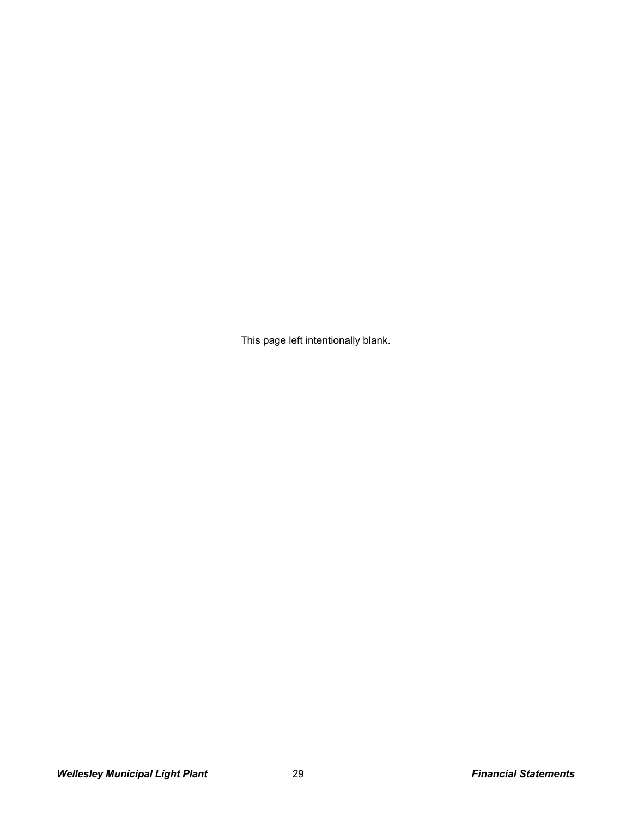This page left intentionally blank.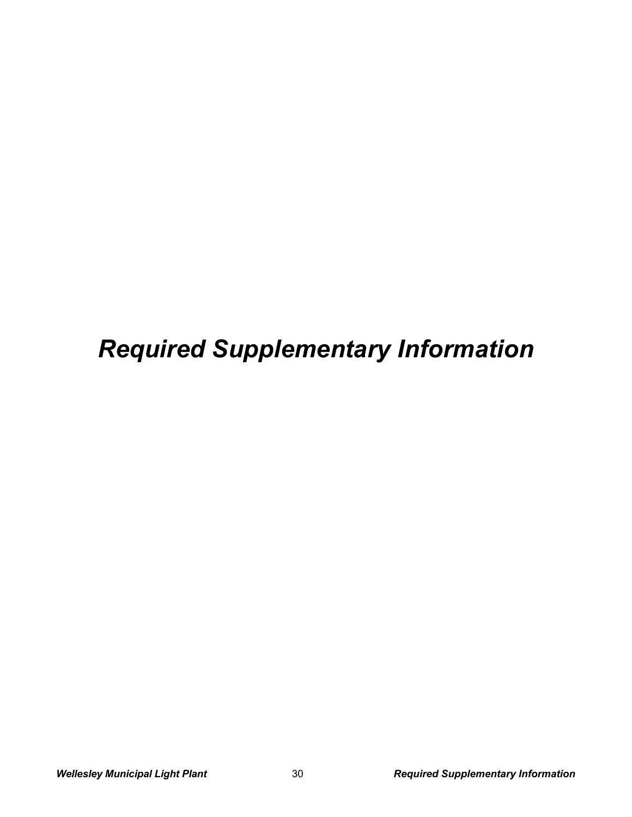*Required Supplementary Information*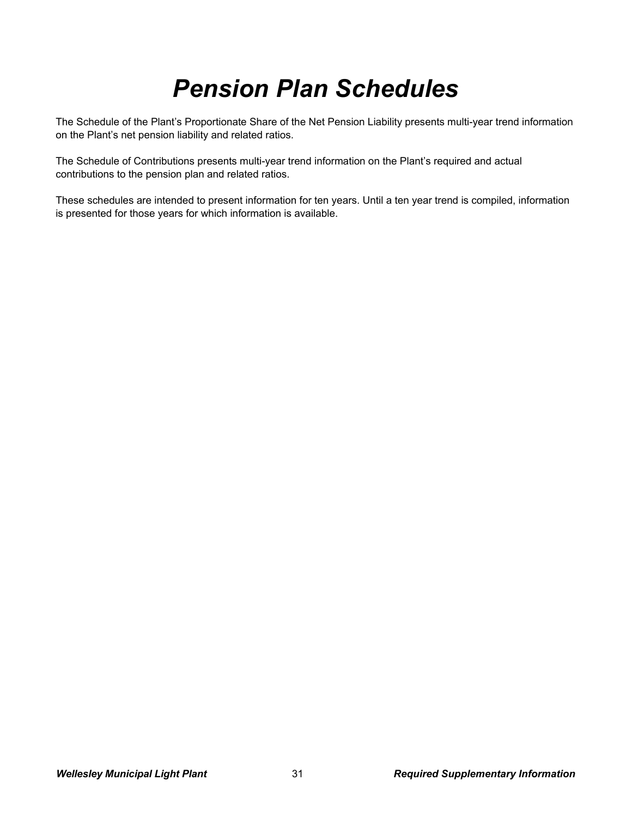# *Pension Plan Schedules*

The Schedule of the Plant's Proportionate Share of the Net Pension Liability presents multi-year trend information on the Plant's net pension liability and related ratios.

The Schedule of Contributions presents multi-year trend information on the Plant's required and actual contributions to the pension plan and related ratios.

These schedules are intended to present information for ten years. Until a ten year trend is compiled, information is presented for those years for which information is available.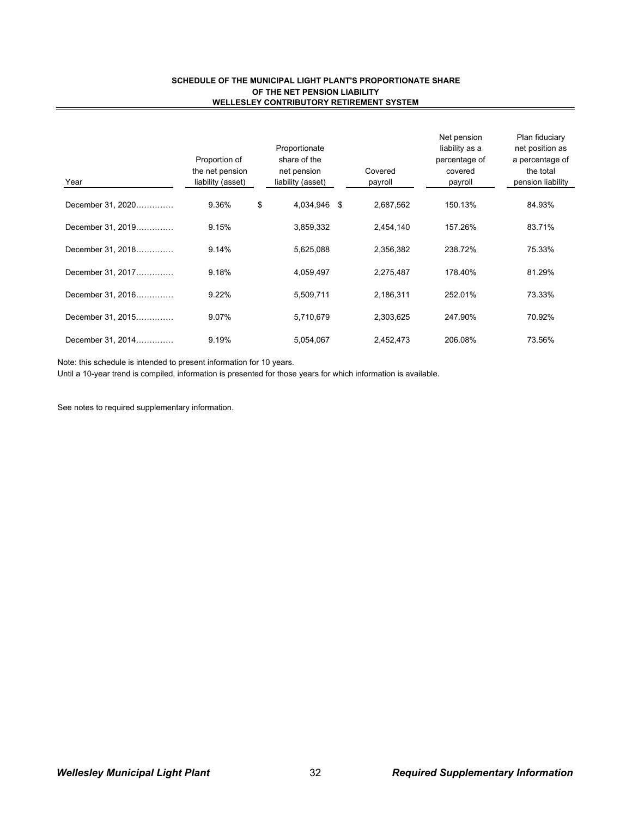#### **SCHEDULE OF THE MUNICIPAL LIGHT PLANT'S PROPORTIONATE SHARE OF THE NET PENSION LIABILITY WELLESLEY CONTRIBUTORY RETIREMENT SYSTEM**

| Year              | Proportion of<br>the net pension<br>liability (asset) | Proportionate<br>share of the<br>net pension<br>liability (asset) | Covered<br>payroll | Net pension<br>liability as a<br>percentage of<br>covered<br>payroll | Plan fiduciary<br>net position as<br>a percentage of<br>the total<br>pension liability |
|-------------------|-------------------------------------------------------|-------------------------------------------------------------------|--------------------|----------------------------------------------------------------------|----------------------------------------------------------------------------------------|
| December 31, 2020 | 9.36%                                                 | \$<br>4,034,946 \$                                                | 2,687,562          | 150.13%                                                              | 84.93%                                                                                 |
| December 31, 2019 | 9.15%                                                 | 3,859,332                                                         | 2,454,140          | 157.26%                                                              | 83.71%                                                                                 |
| December 31, 2018 | 9.14%                                                 | 5,625,088                                                         | 2,356,382          | 238.72%                                                              | 75.33%                                                                                 |
| December 31, 2017 | 9.18%                                                 | 4,059,497                                                         | 2,275,487          | 178.40%                                                              | 81.29%                                                                                 |
| December 31, 2016 | 9.22%                                                 | 5,509,711                                                         | 2,186,311          | 252.01%                                                              | 73.33%                                                                                 |
| December 31, 2015 | 9.07%                                                 | 5,710,679                                                         | 2,303,625          | 247.90%                                                              | 70.92%                                                                                 |
| December 31, 2014 | 9.19%                                                 | 5,054,067                                                         | 2,452,473          | 206.08%                                                              | 73.56%                                                                                 |

Note: this schedule is intended to present information for 10 years.

Until a 10-year trend is compiled, information is presented for those years for which information is available.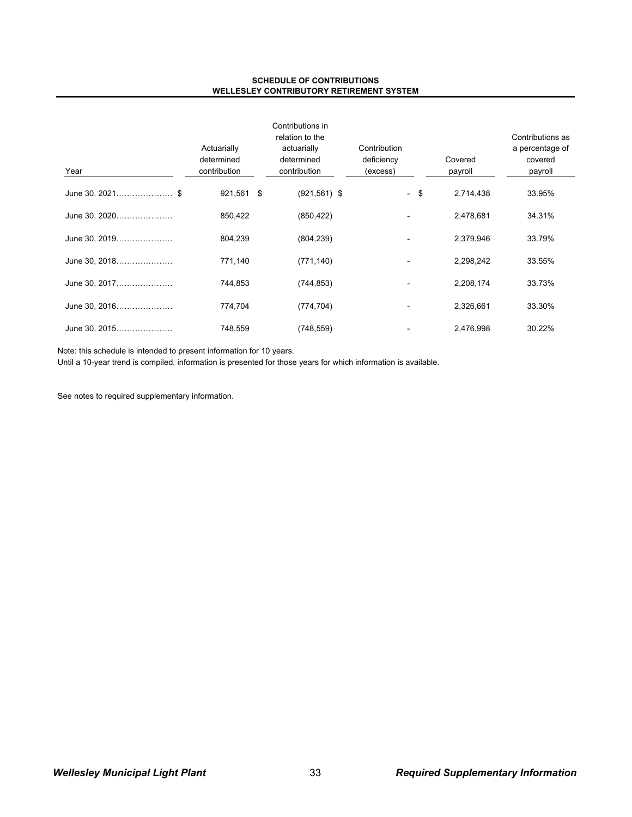#### **SCHEDULE OF CONTRIBUTIONS WELLESLEY CONTRIBUTORY RETIREMENT SYSTEM**

| Year          | Actuarially<br>determined<br>contribution | Contributions in<br>relation to the<br>actuarially<br>determined<br>contribution | Contribution<br>deficiency<br>(excess) | Covered<br>payroll | Contributions as<br>a percentage of<br>covered<br>payroll |
|---------------|-------------------------------------------|----------------------------------------------------------------------------------|----------------------------------------|--------------------|-----------------------------------------------------------|
|               | 921,561 \$                                | $(921, 561)$ \$                                                                  | - \$                                   | 2,714,438          | 33.95%                                                    |
| June 30, 2020 | 850,422                                   | (850, 422)                                                                       | $\overline{\phantom{a}}$               | 2,478,681          | 34.31%                                                    |
| June 30, 2019 | 804,239                                   | (804, 239)                                                                       | $\overline{\phantom{a}}$               | 2,379,946          | 33.79%                                                    |
| June 30, 2018 | 771,140                                   | (771, 140)                                                                       | $\overline{\phantom{a}}$               | 2,298,242          | 33.55%                                                    |
| June 30, 2017 | 744,853                                   | (744, 853)                                                                       | $\overline{\phantom{a}}$               | 2,208,174          | 33.73%                                                    |
| June 30, 2016 | 774,704                                   | (774, 704)                                                                       |                                        | 2,326,661          | 33.30%                                                    |
| June 30, 2015 | 748,559                                   | (748, 559)                                                                       |                                        | 2,476,998          | 30.22%                                                    |

Note: this schedule is intended to present information for 10 years.

Until a 10-year trend is compiled, information is presented for those years for which information is available.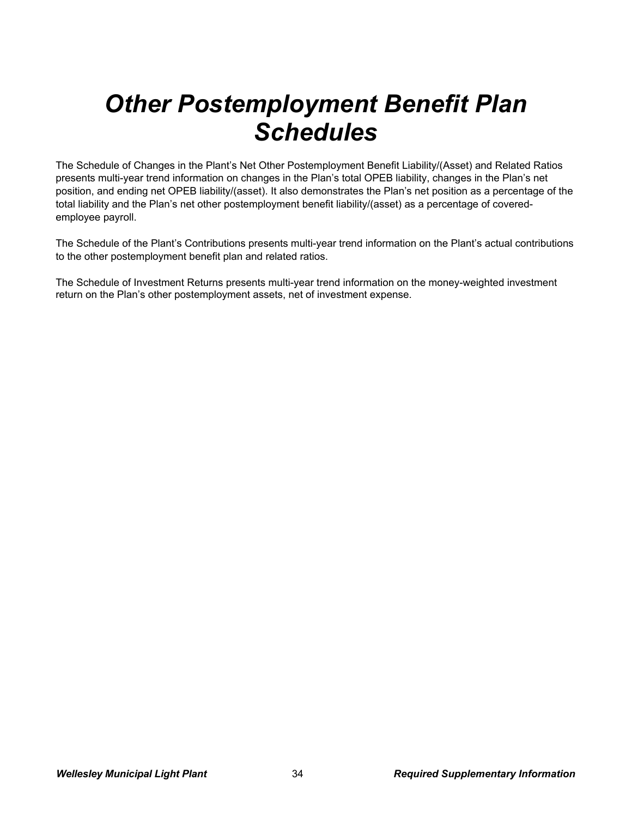# *Other Postemployment Benefit Plan Schedules*

The Schedule of Changes in the Plant's Net Other Postemployment Benefit Liability/(Asset) and Related Ratios presents multi-year trend information on changes in the Plan's total OPEB liability, changes in the Plan's net position, and ending net OPEB liability/(asset). It also demonstrates the Plan's net position as a percentage of the total liability and the Plan's net other postemployment benefit liability/(asset) as a percentage of coveredemployee payroll.

The Schedule of the Plant's Contributions presents multi-year trend information on the Plant's actual contributions to the other postemployment benefit plan and related ratios.

The Schedule of Investment Returns presents multi-year trend information on the money-weighted investment return on the Plan's other postemployment assets, net of investment expense.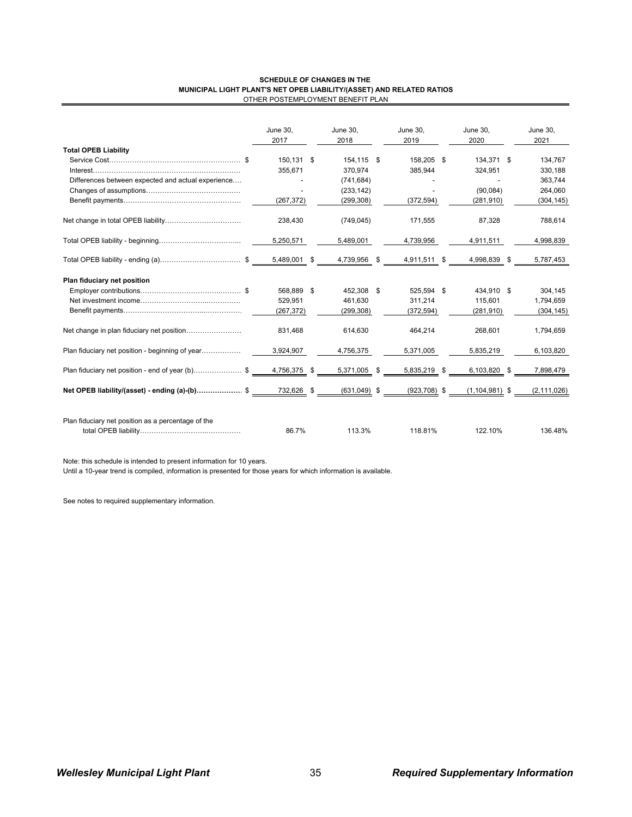#### **SCHEDULE OF CHANGES IN THE MUNICIPAL LIGHT PLANT'S NET OPEB LIABILITY/(ASSET) AND RELATED RATIOS** OTHER POSTEMPLOYMENT BENEFIT PLAN

|                                                    | June 30,<br>2017 | June 30,<br>2018 | June 30,<br>2019   | June 30,<br>2020   | June 30,<br>2021 |
|----------------------------------------------------|------------------|------------------|--------------------|--------------------|------------------|
| <b>Total OPEB Liability</b>                        |                  |                  |                    |                    |                  |
|                                                    | 150,131 \$       | 154,115 \$       | 158,205 \$         | 134,371 \$         | 134,767          |
|                                                    | 355.671          | 370,974          | 385,944            | 324,951            | 330,188          |
| Differences between expected and actual experience |                  | (741, 684)       |                    |                    | 363,744          |
|                                                    |                  | (233, 142)       |                    | (90,084)           | 264,060          |
|                                                    | (267, 372)       | (299, 308)       | (372, 594)         | (281, 910)         | (304, 145)       |
|                                                    | 238,430          | (749, 045)       | 171,555            | 87,328             | 788,614          |
|                                                    | 5,250,571        | 5,489,001        | 4,739,956          | 4,911,511          | 4,998,839        |
|                                                    | 5,489,001 \$     | 4,739,956        | \$<br>4,911,511 \$ | 4,998,839 \$       | 5,787,453        |
| Plan fiduciary net position                        |                  |                  |                    |                    |                  |
|                                                    | 568,889 \$       | 452,308 \$       | 525,594 \$         | 434,910 \$         | 304,145          |
|                                                    | 529,951          | 461,630          | 311,214            | 115,601            | 1,794,659        |
|                                                    | (267, 372)       | (299, 308)       | (372, 594)         | (281, 910)         | (304, 145)       |
|                                                    | 831,468          | 614,630          | 464,214            | 268,601            | 1,794,659        |
| Plan fiduciary net position - beginning of year    | 3,924,907        | 4,756,375        | 5,371,005          | 5,835,219          | 6,103,820        |
| Plan fiduciary net position - end of year (b)\$    | 4,756,375 \$     | 5,371,005        | \$<br>5,835,219 \$ | 6,103,820 \$       | 7,898,479        |
| Net OPEB liability/(asset) - ending (a)-(b)\$      | 732,626 \$       | $(631,049)$ \$   | $(923, 708)$ \$    | $(1, 104, 981)$ \$ | (2, 111, 026)    |
| Plan fiduciary net position as a percentage of the |                  |                  |                    |                    |                  |
|                                                    | 86.7%            | 113.3%           | 118.81%            | 122.10%            | 136.48%          |

Note: this schedule is intended to present information for 10 years.

Until a 10-year trend is compiled, information is presented for those years for which information is available.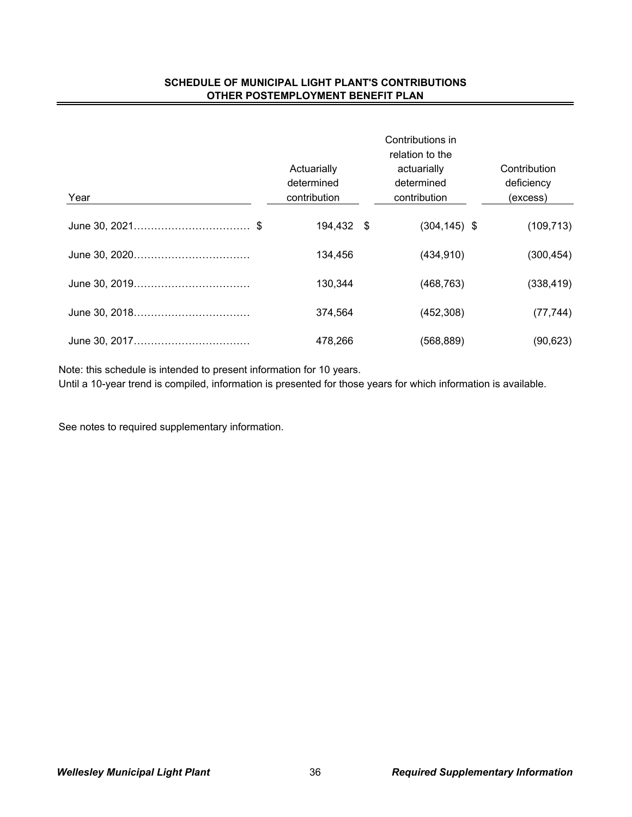## **SCHEDULE OF MUNICIPAL LIGHT PLANT'S CONTRIBUTIONS OTHER POSTEMPLOYMENT BENEFIT PLAN**

|      | Actuarially<br>determined | Contribution<br>deficiency |            |
|------|---------------------------|----------------------------|------------|
| Year | contribution              | determined<br>contribution | (excess)   |
|      | 194,432 \$                | $(304, 145)$ \$            | (109, 713) |
|      | 134.456                   | (434, 910)                 | (300, 454) |
|      | 130,344                   | (468, 763)                 | (338, 419) |
|      | 374.564                   | (452, 308)                 | (77, 744)  |
|      | 478,266                   | (568, 889)                 | (90, 623)  |

Note: this schedule is intended to present information for 10 years.

Until a 10-year trend is compiled, information is presented for those years for which information is available.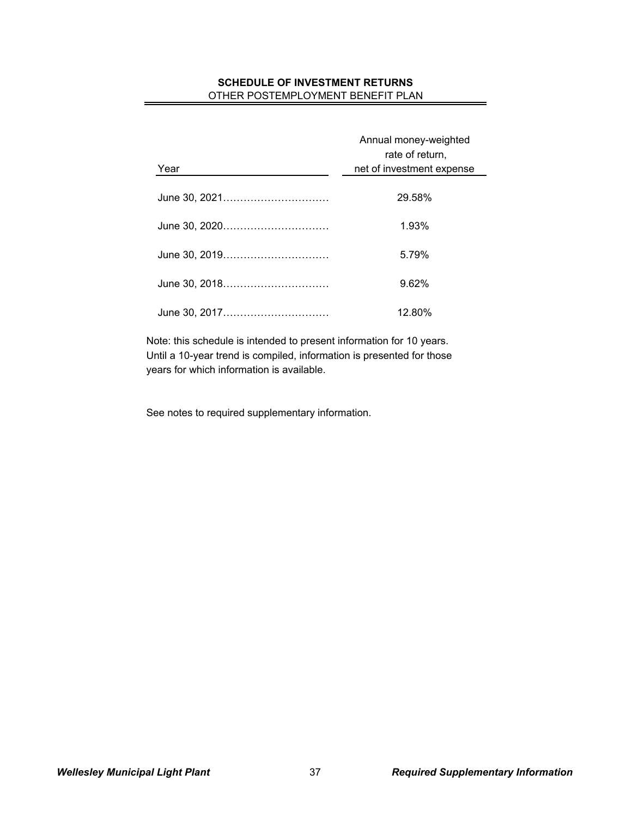## **SCHEDULE OF INVESTMENT RETURNS** OTHER POSTEMPLOYMENT BENEFIT PLAN

| Year          | Annual money-weighted<br>rate of return.<br>net of investment expense |
|---------------|-----------------------------------------------------------------------|
|               | 29.58%                                                                |
| June 30, 2020 | 1.93%                                                                 |
| June 30, 2019 | 5.79%                                                                 |
| June 30, 2018 | 9.62%                                                                 |
| June 30, 2017 | 12.80%                                                                |

Note: this schedule is intended to present information for 10 years. Until a 10-year trend is compiled, information is presented for those years for which information is available.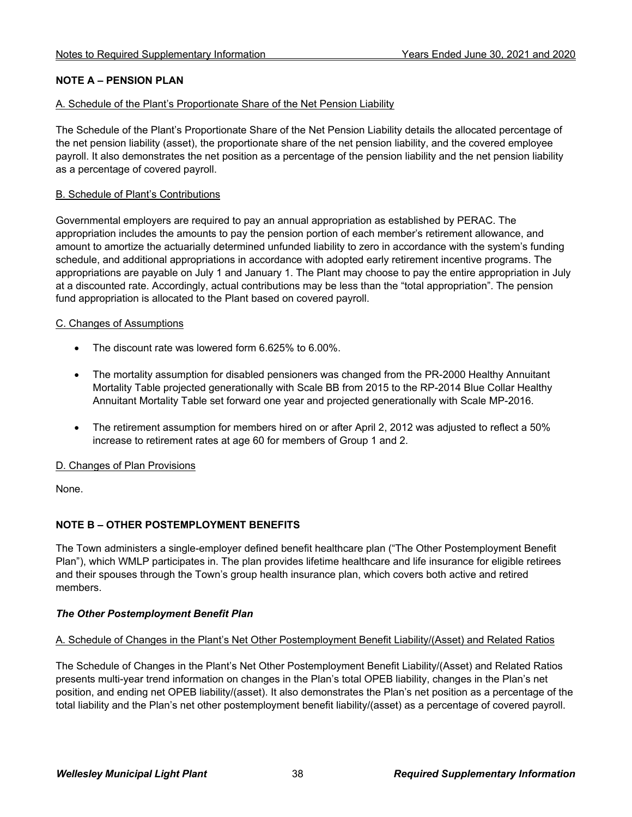#### **NOTE A – PENSION PLAN**

#### A. Schedule of the Plant's Proportionate Share of the Net Pension Liability

The Schedule of the Plant's Proportionate Share of the Net Pension Liability details the allocated percentage of the net pension liability (asset), the proportionate share of the net pension liability, and the covered employee payroll. It also demonstrates the net position as a percentage of the pension liability and the net pension liability as a percentage of covered payroll.

#### B. Schedule of Plant's Contributions

Governmental employers are required to pay an annual appropriation as established by PERAC. The appropriation includes the amounts to pay the pension portion of each member's retirement allowance, and amount to amortize the actuarially determined unfunded liability to zero in accordance with the system's funding schedule, and additional appropriations in accordance with adopted early retirement incentive programs. The appropriations are payable on July 1 and January 1. The Plant may choose to pay the entire appropriation in July at a discounted rate. Accordingly, actual contributions may be less than the "total appropriation". The pension fund appropriation is allocated to the Plant based on covered payroll.

#### C. Changes of Assumptions

- The discount rate was lowered form 6.625% to 6.00%.
- The mortality assumption for disabled pensioners was changed from the PR-2000 Healthy Annuitant Mortality Table projected generationally with Scale BB from 2015 to the RP-2014 Blue Collar Healthy Annuitant Mortality Table set forward one year and projected generationally with Scale MP-2016.
- The retirement assumption for members hired on or after April 2, 2012 was adjusted to reflect a 50% increase to retirement rates at age 60 for members of Group 1 and 2.

#### D. Changes of Plan Provisions

None.

#### **NOTE B – OTHER POSTEMPLOYMENT BENEFITS**

The Town administers a single-employer defined benefit healthcare plan ("The Other Postemployment Benefit Plan"), which WMLP participates in. The plan provides lifetime healthcare and life insurance for eligible retirees and their spouses through the Town's group health insurance plan, which covers both active and retired members.

#### *The Other Postemployment Benefit Plan*

#### A. Schedule of Changes in the Plant's Net Other Postemployment Benefit Liability/(Asset) and Related Ratios

The Schedule of Changes in the Plant's Net Other Postemployment Benefit Liability/(Asset) and Related Ratios presents multi-year trend information on changes in the Plan's total OPEB liability, changes in the Plan's net position, and ending net OPEB liability/(asset). It also demonstrates the Plan's net position as a percentage of the total liability and the Plan's net other postemployment benefit liability/(asset) as a percentage of covered payroll.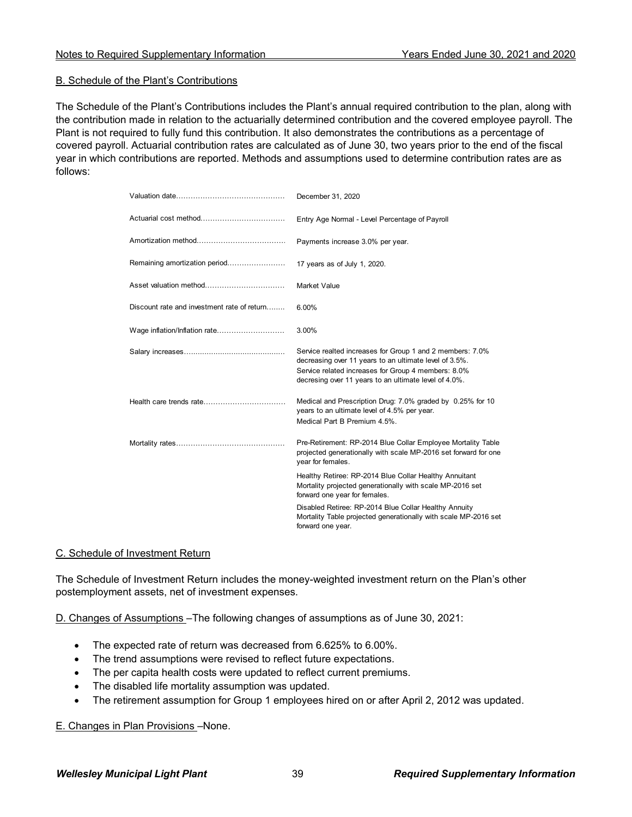#### B. Schedule of the Plant's Contributions

The Schedule of the Plant's Contributions includes the Plant's annual required contribution to the plan, along with the contribution made in relation to the actuarially determined contribution and the covered employee payroll. The Plant is not required to fully fund this contribution. It also demonstrates the contributions as a percentage of covered payroll. Actuarial contribution rates are calculated as of June 30, two years prior to the end of the fiscal year in which contributions are reported. Methods and assumptions used to determine contribution rates are as follows:

|                                             | December 31, 2020                                                                                                                                                                                                                   |
|---------------------------------------------|-------------------------------------------------------------------------------------------------------------------------------------------------------------------------------------------------------------------------------------|
|                                             | Entry Age Normal - Level Percentage of Payroll                                                                                                                                                                                      |
|                                             | Payments increase 3.0% per year.                                                                                                                                                                                                    |
| Remaining amortization period               | 17 years as of July 1, 2020.                                                                                                                                                                                                        |
|                                             | <b>Market Value</b>                                                                                                                                                                                                                 |
| Discount rate and investment rate of return | $6.00\%$                                                                                                                                                                                                                            |
|                                             | 3.00%                                                                                                                                                                                                                               |
|                                             | Service realted increases for Group 1 and 2 members: 7.0%<br>decreasing over 11 years to an ultimate level of 3.5%.<br>Service related increases for Group 4 members: 8.0%<br>decresing over 11 years to an ultimate level of 4.0%. |
|                                             | Medical and Prescription Drug: 7.0% graded by 0.25% for 10<br>years to an ultimate level of 4.5% per year.<br>Medical Part B Premium 4.5%.                                                                                          |
|                                             | Pre-Retirement: RP-2014 Blue Collar Employee Mortality Table<br>projected generationally with scale MP-2016 set forward for one<br>year for females.                                                                                |
|                                             | Healthy Retiree: RP-2014 Blue Collar Healthy Annuitant<br>Mortality projected generationally with scale MP-2016 set<br>forward one year for females.                                                                                |
|                                             | Disabled Retiree: RP-2014 Blue Collar Healthy Annuity<br>Mortality Table projected generationally with scale MP-2016 set<br>forward one year.                                                                                       |

#### C. Schedule of Investment Return

The Schedule of Investment Return includes the money-weighted investment return on the Plan's other postemployment assets, net of investment expenses.

D. Changes of Assumptions –The following changes of assumptions as of June 30, 2021:

- The expected rate of return was decreased from 6.625% to 6.00%.
- The trend assumptions were revised to reflect future expectations.
- The per capita health costs were updated to reflect current premiums.
- The disabled life mortality assumption was updated.
- The retirement assumption for Group 1 employees hired on or after April 2, 2012 was updated.

E. Changes in Plan Provisions –None.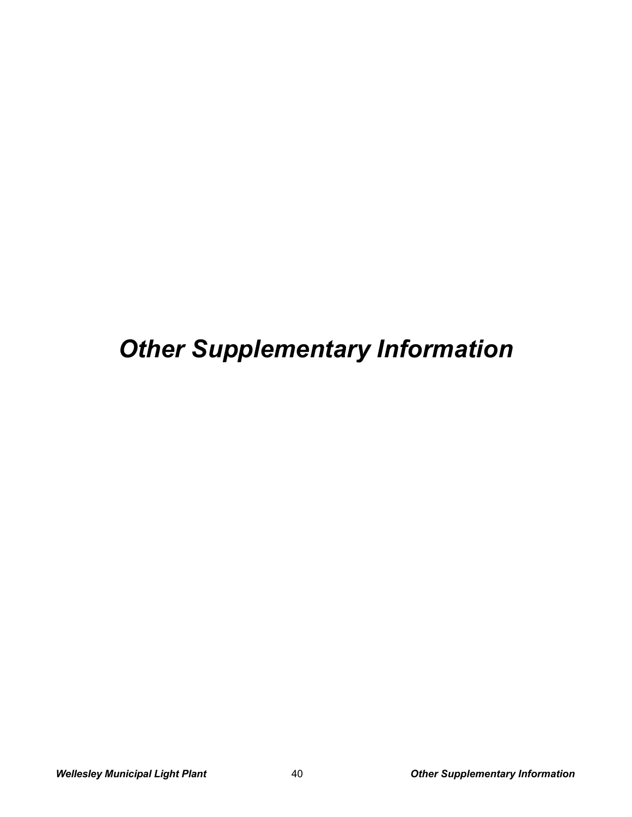*Other Supplementary Information*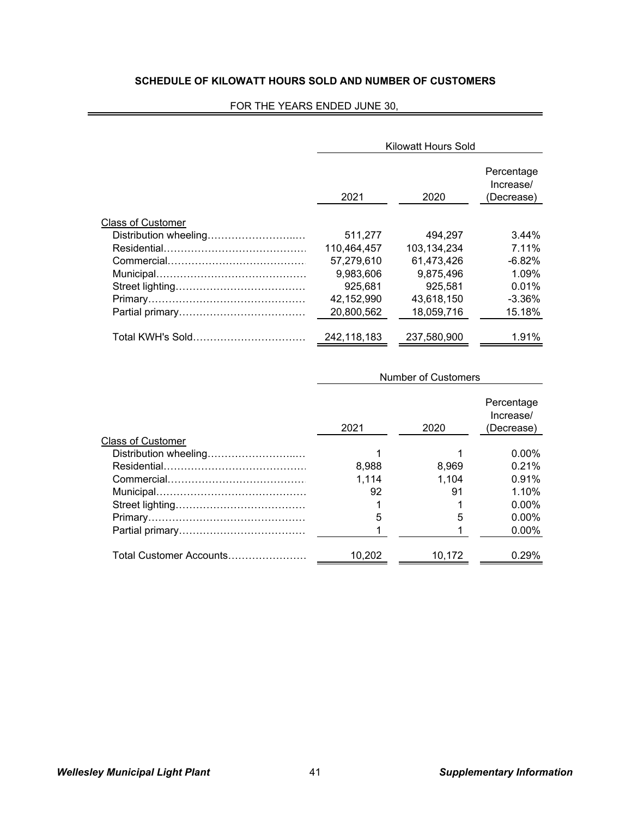## **SCHEDULE OF KILOWATT HOURS SOLD AND NUMBER OF CUSTOMERS**

## FOR THE YEARS ENDED JUNE 30,

|                          | <b>Kilowatt Hours Sold</b> |             |                                       |  |  |  |
|--------------------------|----------------------------|-------------|---------------------------------------|--|--|--|
|                          | 2021                       | 2020        | Percentage<br>Increase/<br>(Decrease) |  |  |  |
| <b>Class of Customer</b> |                            |             |                                       |  |  |  |
| Distribution wheeling    | 511,277                    | 494.297     | $3.44\%$                              |  |  |  |
|                          | 110,464,457                | 103,134,234 | 7.11%                                 |  |  |  |
|                          | 57.279.610                 | 61.473.426  | $-6.82%$                              |  |  |  |
|                          | 9.983.606                  | 9.875.496   | 1.09%                                 |  |  |  |
|                          | 925.681                    | 925.581     | 0.01%                                 |  |  |  |
|                          | 42.152.990                 | 43.618.150  | $-3.36\%$                             |  |  |  |
|                          | 20,800,562                 | 18,059,716  | 15.18%                                |  |  |  |
| Total KWH's Sold         | 242,118,183                | 237,580,900 | 1.91%                                 |  |  |  |

|                          | <b>Number of Customers</b> |        |                                       |  |  |
|--------------------------|----------------------------|--------|---------------------------------------|--|--|
|                          | 2021                       | 2020   | Percentage<br>Increase/<br>(Decrease) |  |  |
| <b>Class of Customer</b> |                            |        |                                       |  |  |
| Distribution wheeling    |                            |        | $0.00\%$                              |  |  |
|                          | 8,988                      | 8,969  | 0.21%                                 |  |  |
|                          | 1.114                      | 1.104  | 0.91%                                 |  |  |
|                          | 92                         | 91     | 1.10%                                 |  |  |
|                          |                            |        | $0.00\%$                              |  |  |
|                          | 5                          | 5      | $0.00\%$                              |  |  |
|                          |                            |        | $0.00\%$                              |  |  |
| Total Customer Accounts  | 10.202                     | 10.172 | በ 29%                                 |  |  |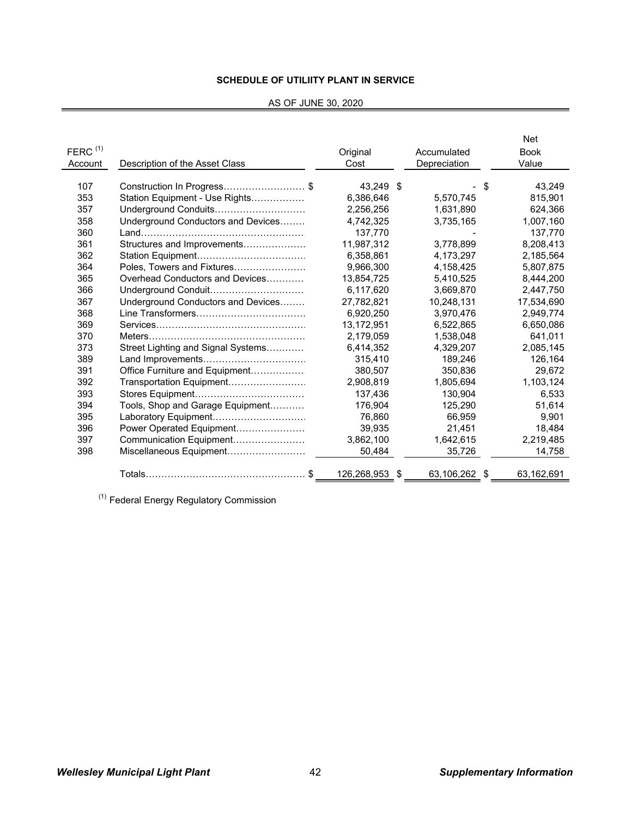#### **SCHEDULE OF UTILIITY PLANT IN SERVICE**

#### AS OF JUNE 30, 2020

|            |                                    |                   |              | <b>Net</b>      |
|------------|------------------------------------|-------------------|--------------|-----------------|
| FERC $(1)$ |                                    | Original          | Accumulated  | <b>Book</b>     |
| Account    | Description of the Asset Class     | Cost              | Depreciation | Value           |
|            |                                    |                   |              |                 |
| 107        | Construction In Progress\$         | 43,249 \$         |              | \$<br>43,249    |
| 353        | Station Equipment - Use Rights     | 6,386,646         | 5,570,745    | 815,901         |
| 357        | Underground Conduits               | 2,256,256         | 1,631,890    | 624,366         |
| 358        | Underground Conductors and Devices | 4,742,325         | 3,735,165    | 1,007,160       |
| 360        |                                    | 137,770           |              | 137,770         |
| 361        | Structures and Improvements        | 11,987,312        | 3,778,899    | 8,208,413       |
| 362        |                                    | 6,358,861         | 4,173,297    | 2,185,564       |
| 364        | Poles, Towers and Fixtures         | 9,966,300         | 4,158,425    | 5,807,875       |
| 365        | Overhead Conductors and Devices    | 13,854,725        | 5,410,525    | 8,444,200       |
| 366        | Underground Conduit                | 6,117,620         | 3,669,870    | 2,447,750       |
| 367        | Underground Conductors and Devices | 27,782,821        | 10,248,131   | 17,534,690      |
| 368        |                                    | 6,920,250         | 3,970,476    | 2,949,774       |
| 369        |                                    | 13,172,951        | 6,522,865    | 6,650,086       |
| 370        |                                    | 2,179,059         | 1,538,048    | 641,011         |
| 373        | Street Lighting and Signal Systems | 6,414,352         | 4,329,207    | 2,085,145       |
| 389        |                                    | 315,410           | 189,246      | 126,164         |
| 391        | Office Furniture and Equipment     | 380,507           | 350.836      | 29,672          |
| 392        | Transportation Equipment           | 2,908,819         | 1,805,694    | 1,103,124       |
| 393        |                                    | 137,436           | 130.904      | 6,533           |
| 394        | Tools, Shop and Garage Equipment   | 176,904           | 125,290      | 51,614          |
| 395        | Laboratory Equipment               | 76.860            | 66.959       | 9,901           |
| 396        | Power Operated Equipment           | 39,935            | 21,451       | 18,484          |
| 397        | Communication Equipment            | 3,862,100         | 1,642,615    | 2,219,485       |
| 398        | Miscellaneous Equipment            | 50,484            | 35,726       | 14,758          |
|            |                                    |                   |              |                 |
|            | -SS                                | 126.268.953<br>S. | 63,106,262   | 63,162,691<br>S |

 $(1)$  Federal Energy Regulatory Commission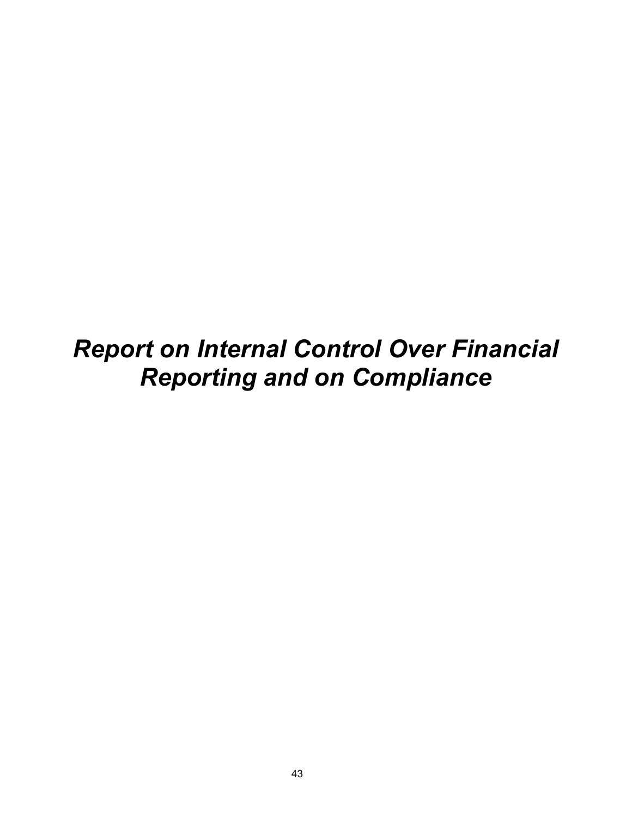## *Report on Internal Control Over Financial Reporting and on Compliance*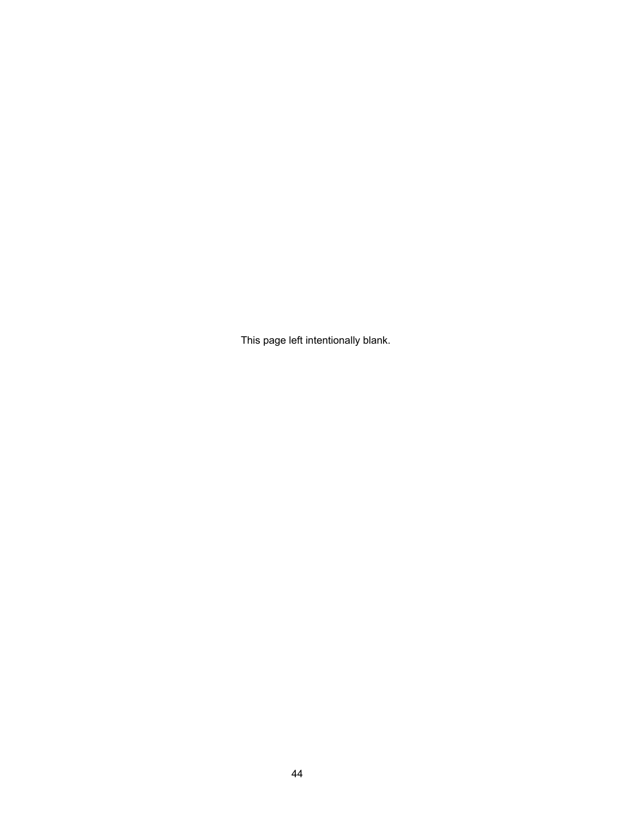This page left intentionally blank.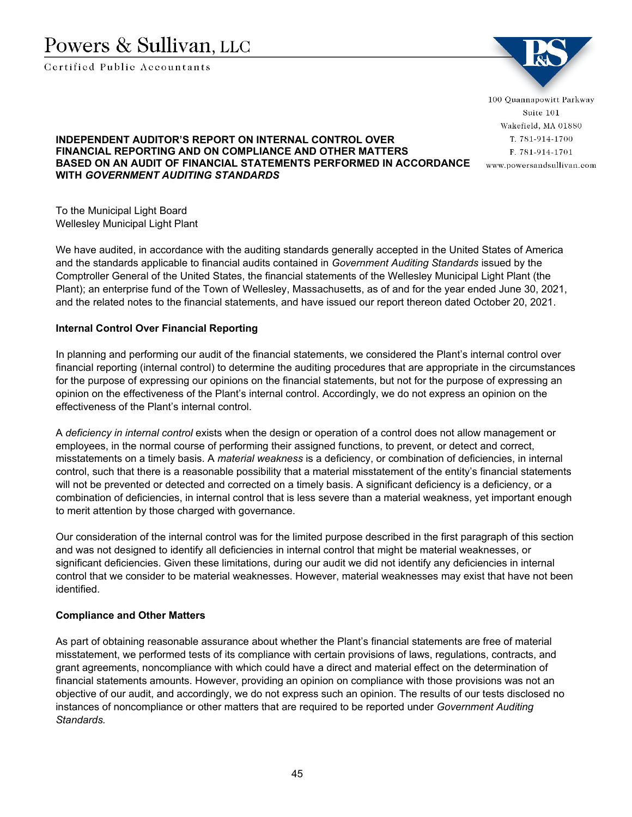## Powers & Sullivan, LLC

Certified Public Accountants



100 Quannapowitt Parkway Suite 101 Wakefield, MA 01880 T. 781-914-1700 F. 781-914-1701 www.powersandsullivan.com

#### **INDEPENDENT AUDITOR'S REPORT ON INTERNAL CONTROL OVER FINANCIAL REPORTING AND ON COMPLIANCE AND OTHER MATTERS BASED ON AN AUDIT OF FINANCIAL STATEMENTS PERFORMED IN ACCORDANCE WITH** *GOVERNMENT AUDITING STANDARDS*

To the Municipal Light Board Wellesley Municipal Light Plant

We have audited, in accordance with the auditing standards generally accepted in the United States of America and the standards applicable to financial audits contained in *Government Auditing Standards* issued by the Comptroller General of the United States, the financial statements of the Wellesley Municipal Light Plant (the Plant); an enterprise fund of the Town of Wellesley, Massachusetts, as of and for the year ended June 30, 2021, and the related notes to the financial statements, and have issued our report thereon dated October 20, 2021.

#### **Internal Control Over Financial Reporting**

In planning and performing our audit of the financial statements, we considered the Plant's internal control over financial reporting (internal control) to determine the auditing procedures that are appropriate in the circumstances for the purpose of expressing our opinions on the financial statements, but not for the purpose of expressing an opinion on the effectiveness of the Plant's internal control. Accordingly, we do not express an opinion on the effectiveness of the Plant's internal control.

A *deficiency in internal control* exists when the design or operation of a control does not allow management or employees, in the normal course of performing their assigned functions, to prevent, or detect and correct, misstatements on a timely basis. A *material weakness* is a deficiency, or combination of deficiencies, in internal control, such that there is a reasonable possibility that a material misstatement of the entity's financial statements will not be prevented or detected and corrected on a timely basis. A significant deficiency is a deficiency, or a combination of deficiencies, in internal control that is less severe than a material weakness, yet important enough to merit attention by those charged with governance.

Our consideration of the internal control was for the limited purpose described in the first paragraph of this section and was not designed to identify all deficiencies in internal control that might be material weaknesses, or significant deficiencies. Given these limitations, during our audit we did not identify any deficiencies in internal control that we consider to be material weaknesses. However, material weaknesses may exist that have not been identified.

#### **Compliance and Other Matters**

As part of obtaining reasonable assurance about whether the Plant's financial statements are free of material misstatement, we performed tests of its compliance with certain provisions of laws, regulations, contracts, and grant agreements, noncompliance with which could have a direct and material effect on the determination of financial statements amounts. However, providing an opinion on compliance with those provisions was not an objective of our audit, and accordingly, we do not express such an opinion. The results of our tests disclosed no instances of noncompliance or other matters that are required to be reported under *Government Auditing Standards.*